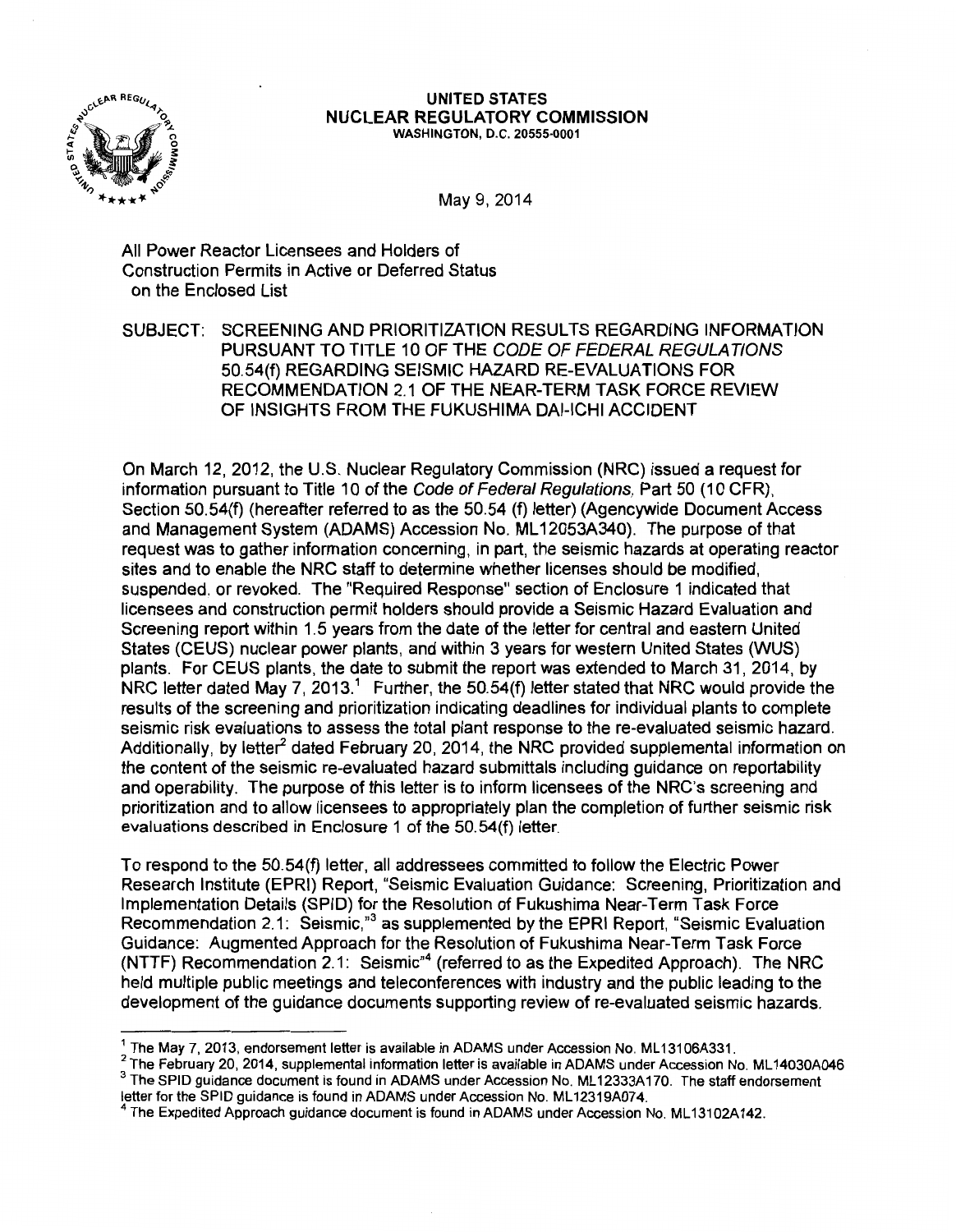

#### UNITED STATES NUCLEAR REGULATORY COMMISSION WASHINGTON, D.C. 20555-0001

May 9, 2014

All Power Reactor Licensees and Holders of Construction Permits in Active or Deferred Status on the Enclosed List

SUBJECT: SCREENING AND PRIORITIZATION RESULTS REGARDING INFORMATION PURSUANT TO TITLE 10 OF THE CODE OF FEDERAL REGULATIONS 50.54(f) REGARDING SEISMIC HAZARD RE-EVALUATIONS FOR RECOMMENDATION 2.1 OF THE NEAR-TERM TASK FORCE REVIEW OF INSIGHTS FROM THE FUKUSHIMA DAI-ICHI ACCIDENT

On March 12, 2012, the U.S. Nuclear Regulatory Commission (NRC) issued a request for information pursuant to Title 10 of the Code of Federal Regulations, Part 50 (10 CFR), Section 50.54(f) (hereafter referred to as the 50.54 (f) letter) (Agencywide Document Access and Management System (ADAMS) Accession No. ML 12053A340). The purpose of that request was to gather information concerning, in part, the seismic hazards at operating reactor sites and to enable the NRC staff to determine whether licenses should be modified, suspended, or revoked. The "Required Response" section of Enclosure 1 indicated that licensees and construction permit holders should provide a Seismic Hazard Evaluation and Screening report within 1.5 years from the date of the letter for central and eastern United States (CEUS) nuclear power plants, and within 3 years for western United States (WUS) plants. For CEUS plants, the date to submit the report was extended to March 31, 2014, by NRC letter dated May 7, 2013.<sup>1</sup> Further, the 50.54(f) letter stated that NRC would provide the results of the screening and prioritization indicating deadlines for individual plants to complete seismic risk evaluations to assess the total plant response to the re-evaluated seismic hazard. Additionally, by letter<sup>2</sup> dated February 20, 2014, the NRC provided supplemental information on the content of the seismic re-evaluated hazard submittals including guidance on reportability and operability. The purpose of this letter is to inform licensees of the NRC's screening and prioritization and to allow licensees to appropriately plan the completion of further seismic risk evaluations described in Enclosure 1 of the 50.54(f) letter.

To respond to the 50.54(f) letter, all addressees committed to follow the Electric Power Research Institute (EPRI) Report, "Seismic Evaluation Guidance: Screening, Prioritization and Implementation Details (SPID) for the Resolution of Fukushima Near-Term Task Force Recommendation 2.1: Seismic,<sup>3</sup> as supplemented by the EPRI Report, "Seismic Evaluation Guidance: Augmented Approach for the Resolution of Fukushima Near-Term Task Force (NTTF) Recommendation 2.1: Seismic"<sup>4</sup>(referred to as the Expedited Approach). The NRC held multiple public meetings and teleconferences with industry and the public leading to the development of the guidance documents supporting review of re-evaluated seismic hazards.

<sup>1</sup> The May 7, 2013, endorsement letter is available in ADAMS under Accession No. ML13106A331.<br>
<sup>2</sup> The February 20, 2014, supplemental information letter is available in ADAMS under Accession No. ML14030A046<br>
<sup>3</sup> The SPI

<sup>&</sup>lt;sup>4</sup> The Expedited Approach guidance document is found in ADAMS under Accession No. ML 13102A142.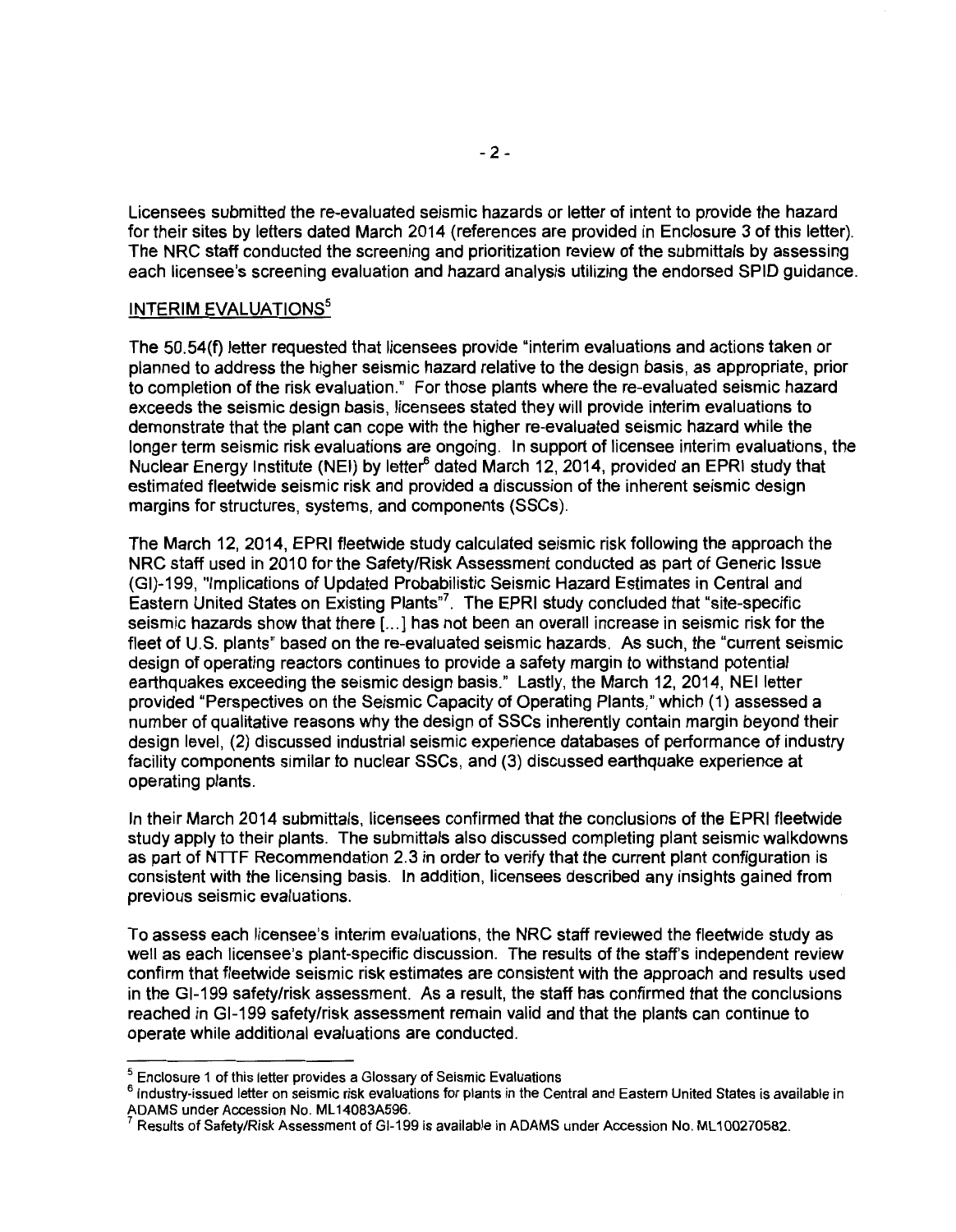Licensees submitted the re-evaluated seismic hazards or letter of intent to provide the hazard for their sites by letters dated March 2014 (references are provided in Enclosure 3 of this letter). The NRC staff conducted the screening and prioritization review of the submittals by assessing each licensee's screening evaluation and hazard analysis utilizing the endorsed SPID guidance.

### INTERIM EVALUATIONS<sup>5</sup>

The 50.54(f) letter requested that licensees provide "interim evaluations and actions taken or planned to address the higher seismic hazard relative to the design basis, as appropriate, prior to completion of the risk evaluation." For those plants where the re-evaluated seismic hazard exceeds the seismic design basis, licensees stated they will provide interim evaluations to demonstrate that the plant can cope with the higher re-evaluated seismic hazard while the longer term seismic risk evaluations are ongoing. In support of licensee interim evaluations, the Nuclear Energy Institute (NEI) by letter<sup>6</sup> dated March 12, 2014, provided an EPRI study that estimated fleetwide seismic risk and provided a discussion of the inherent seismic design margins for structures, systems, and components (SSCs).

The March 12, 2014, EPRI fleetwide study calculated seismic risk following the approach the NRC staff used in 2010 for the Safety/Risk Assessment conducted as part of Generic Issue (GI)-199, "Implications of Updated Probabilistic Seismic Hazard Estimates in Central and Eastern United States on Existing Plants<sup>"7</sup>. The EPRI study concluded that "site-specific seismic hazards show that there [ ... ] has not been an overall increase in seismic risk for the fleet of U.S. plants" based on the re-evaluated seismic hazards. As such, the "current seismic design of operating reactors continues to provide a safety margin to withstand potential earthquakes exceeding the seismic design basis." Lastly, the March 12, 2014, NEI letter provided "Perspectives on the Seismic Capacity of Operating Plants," which (1) assessed a number of qualitative reasons why the design of SSCs inherently contain margin beyond their design level, (2) discussed industrial seismic experience databases of performance of industry facility components similar to nuclear SSCs, and (3) discussed earthquake experience at operating plants.

In their March 2014 submittals, licensees confirmed that the conclusions of the EPRI fleetwide study apply to their plants. The submittals also discussed completing plant seismic walkdowns as part of NTTF Recommendation 2.3 in order to verify that the current plant configuration is consistent with the licensing basis. In addition, licensees described any insights gained from previous seismic evaluations.

To assess each licensee's interim evaluations, the NRC staff reviewed the fleetwide study as well as each licensee's plant-specific discussion. The results of the staff's independent review confirm that fleetwide seismic risk estimates are consistent with the approach and results used in the Gl-199 safety/risk assessment. As a result, the staff has confirmed that the conclusions reached in Gl-199 safety/risk assessment remain valid and that the plants can continue to operate while additional evaluations are conducted.

 $^5$  Enclosure 1 of this letter provides a Glossary of Seismic Evaluations<br><sup>6</sup> Industry-issued letter on seismic risk evaluations for plants in the Central and Eastern United States is available in ADAMS under Accession No. ML14083A596.<br><sup>7</sup> Results of Safety/Risk Assessment of GI-199 is available in ADAMS under Accession No. ML100270582.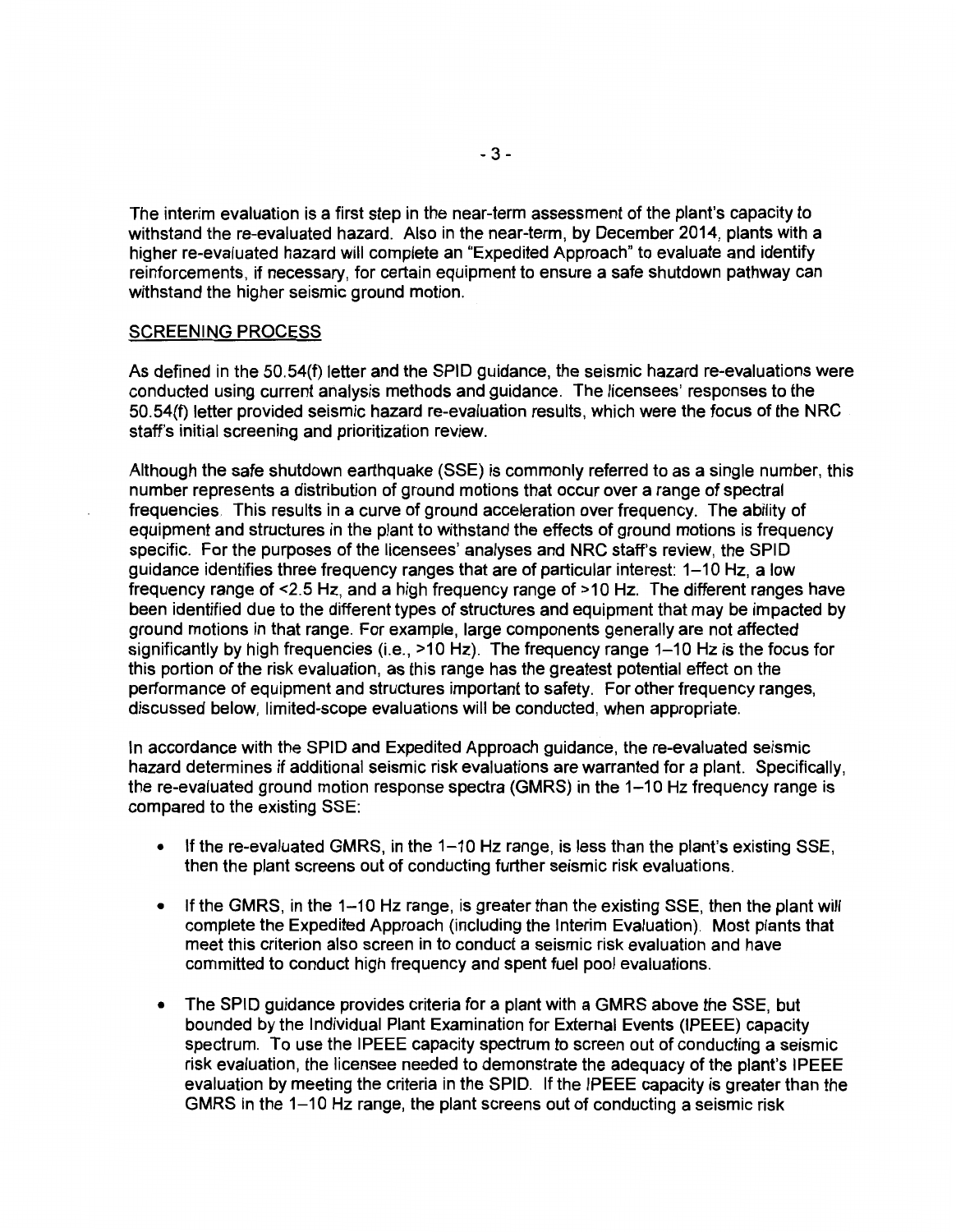The interim evaluation is a first step in the near-term assessment of the plant's capacity to withstand the re-evaluated hazard. Also in the near-term, by December 2014, plants with a higher re-evaluated hazard will complete an "Expedited Approach" to evaluate and identify reinforcements, if necessary, for certain equipment to ensure a safe shutdown pathway can withstand the higher seismic ground motion.

#### SCREENING PROCESS

As defined in the 50.54(f) letter and the SPID guidance, the seismic hazard re-evaluations were conducted using current analysis methods and guidance. The licensees' responses to the 50.54(f) letter provided seismic hazard re-evaluation results, which were the focus of the NRC staff's initial screening and prioritization review.

Although the safe shutdown earthquake (SSE) is commonly referred to as a single number, this number represents a distribution of ground motions that occur over a range of spectral frequencies. This results in a curve of ground acceleration over frequency. The ability of equipment and structures in the plant to withstand the effects of ground motions is frequency specific. For the purposes of the licensees' analyses and NRC staff's review, the SPID guidance identifies three frequency ranges that are of particular interest: 1-10 Hz, a low frequency range of <2.5 Hz, and a high frequency range of >10 Hz. The different ranges have been identified due to the different types of structures and equipment that may be impacted by ground motions in that range. For example, large components generally are not affected significantly by high frequencies (i.e., >10 Hz). The frequency range 1-10 Hz is the focus for this portion of the risk evaluation, as this range has the greatest potential effect on the performance of equipment and structures important to safety. For other frequency ranges, discussed below, limited-scope evaluations will be conducted, when appropriate.

In accordance with the SPID and Expedited Approach guidance, the re-evaluated seismic hazard determines if additional seismic risk evaluations are warranted for a plant. Specifically, the re-evaluated ground motion response spectra (GMRS) in the 1-10 Hz frequency range is compared to the existing SSE:

- If the re-evaluated GMRS, in the 1-10 Hz range, is less than the plant's existing SSE, then the plant screens out of conducting further seismic risk evaluations.
- If the GMRS, in the 1-10 Hz range, is greater than the existing SSE, then the plant will complete the Expedited Approach (including the Interim Evaluation). Most plants that meet this criterion also screen in to conduct a seismic risk evaluation and have committed to conduct high frequency and spent fuel pool evaluations.
- The SPID guidance provides criteria for a plant with a GMRS above the SSE, but bounded by the Individual Plant Examination for External Events (IPEEE) capacity spectrum. To use the IPEEE capacity spectrum to screen out of conducting a seismic risk evaluation, the licensee needed to demonstrate the adequacy of the plant's IPEEE evaluation by meeting the criteria in the SPID. If the IPEEE capacity is greater than the GMRS in the 1-10 Hz range, the plant screens out of conducting a seismic risk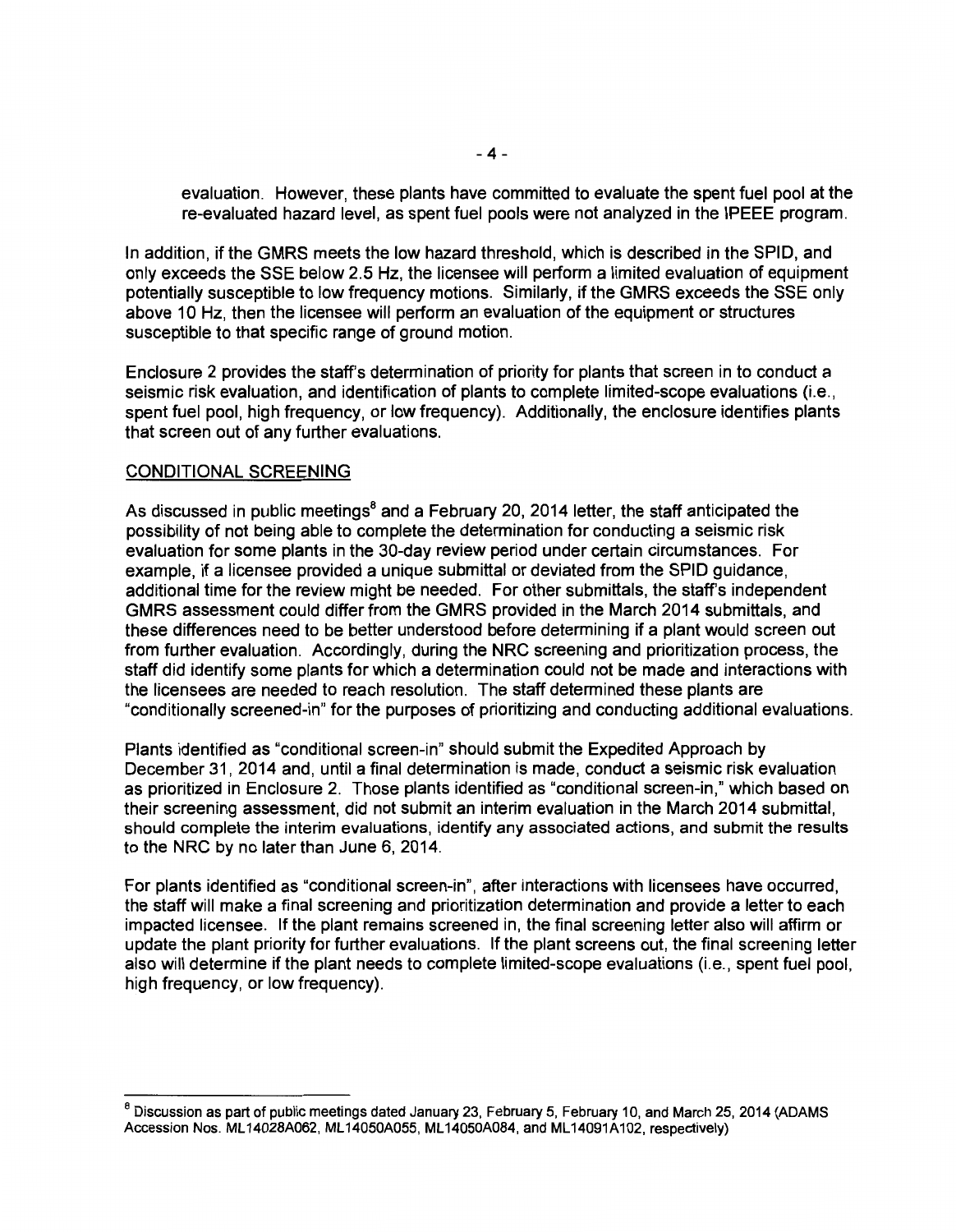evaluation. However, these plants have committed to evaluate the spent fuel pool at the re-evaluated hazard level, as spent fuel pools were not analyzed in the IPEEE program.

In addition, if the GMRS meets the low hazard threshold, which is described in the SPID, and only exceeds the SSE below 2.5 Hz, the licensee will perform a limited evaluation of equipment potentially susceptible to low frequency motions. Similarly, if the GMRS exceeds the SSE only above 10 Hz, then the licensee will perform an evaluation of the equipment or structures susceptible to that specific range of ground motion.

Enclosure 2 provides the staff's determination of priority for plants that screen in to conduct a seismic risk evaluation, and identification of plants to complete limited-scope evaluations (i.e., spent fuel pool, high frequency, or low frequency). Additionally, the enclosure identifies plants that screen out of any further evaluations.

#### CONDITIONAL SCREENING

As discussed in public meetings<sup>8</sup> and a February 20, 2014 letter, the staff anticipated the possibility of not being able to complete the determination for conducting a seismic risk evaluation for some plants in the 30-day review period under certain circumstances. For example, if a licensee provided a unique submittal or deviated from the SPID guidance, additional time for the review might be needed. For other submittals, the staff's independent GMRS assessment could differ from the GMRS provided in the March 2014 submittals, and these differences need to be better understood before determining if a plant would screen out from further evaluation. Accordingly, during the NRC screening and prioritization process, the staff did identify some plants for which a determination could not be made and interactions with the licensees are needed to reach resolution. The staff determined these plants are "conditionally screened-in" for the purposes of prioritizing and conducting additional evaluations.

Plants identified as "conditional screen-in" should submit the Expedited Approach by December 31, 2014 and, until a final determination is made, conduct a seismic risk evaluation as prioritized in Enclosure 2. Those plants identified as "conditional screen-in," which based on their screening assessment, did not submit an interim evaluation in the March 2014 submittal, should complete the interim evaluations, identify any associated actions, and submit the results to the NRC by no later than June 6, 2014.

For plants identified as "conditional screen-in", after interactions with licensees have occurred, the staff will make a final screening and prioritization determination and provide a letter to each impacted licensee. If the plant remains screened in, the final screening letter also will affirm or update the plant priority for further evaluations. If the plant screens out, the final screening letter also will determine if the plant needs to complete limited-scope evaluations (i.e., spent fuel pool, high frequency, or low frequency).

<sup>&</sup>lt;sup>8</sup> Discussion as part of public meetings dated January 23, February 5, February 10, and March 25, 2014 (ADAMS Accession Nos. ML14028A062, ML14050A055, ML 14050A084, and ML 14091A102, respectively)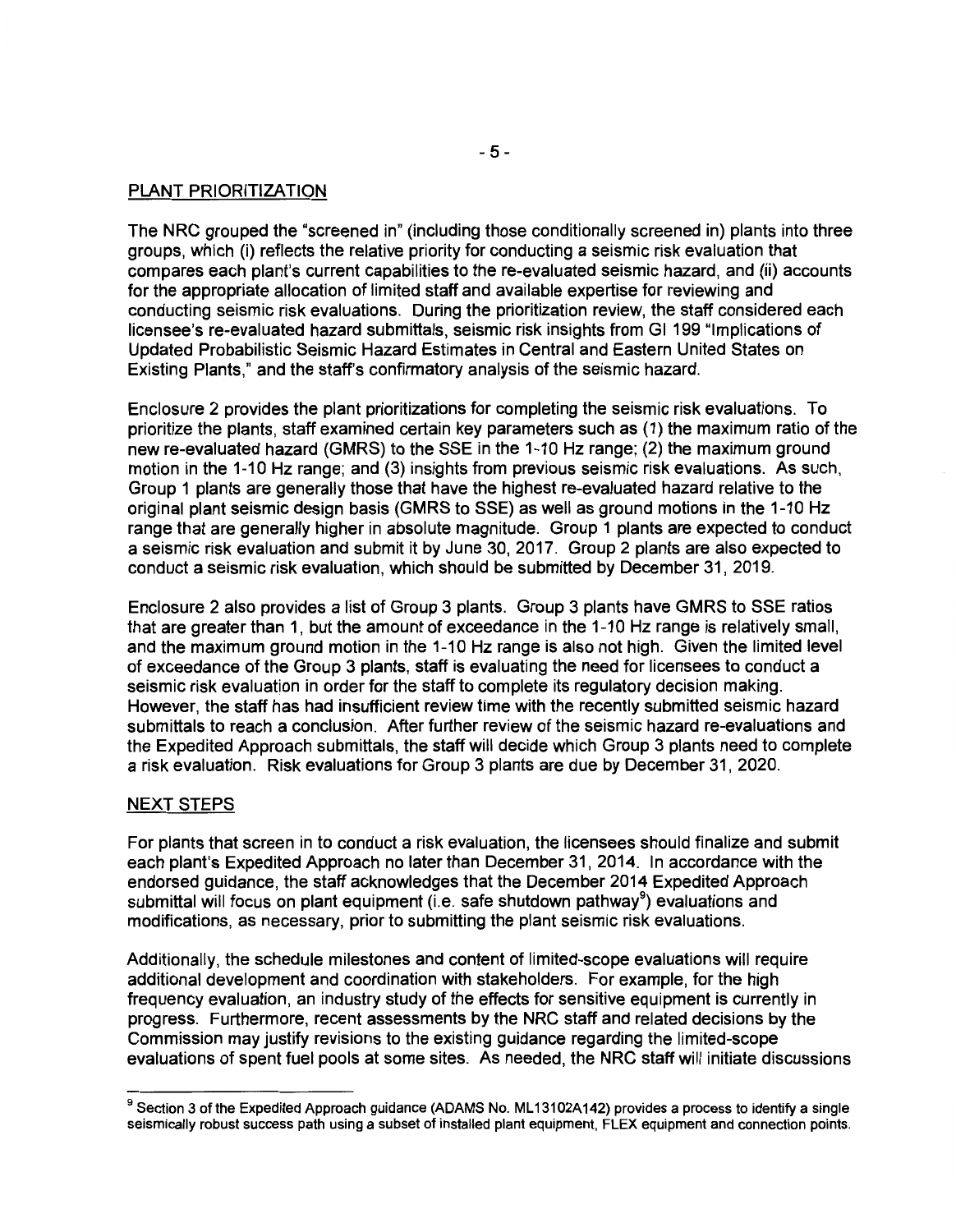### PLANT PRIORITIZATION

The NRC grouped the "screened in" (including those conditionally screened in) plants into three groups, which (i) reflects the relative priority for conducting a seismic risk evaluation that compares each plant's current capabilities to the re-evaluated seismic hazard, and (ii) accounts for the appropriate allocation of limited staff and available expertise for reviewing and conducting seismic risk evaluations. During the prioritization review, the staff considered each licensee's re-evaluated hazard submittals, seismic risk insights from Gl 199 "Implications of Updated Probabilistic Seismic Hazard Estimates in Central and Eastern United States on Existing Plants," and the staff's confirmatory analysis of the seismic hazard.

Enclosure 2 provides the plant prioritizations for completing the seismic risk evaluations. To prioritize the plants, staff examined certain key parameters such as (1) the maximum ratio of the new re-evaluated hazard (GMRS) to the SSE in the 1-10Hz range; (2) the maximum ground motion in the 1-10Hz range; and (3) insights from previous seismic risk evaluations. As such, Group 1 plants are generally those that have the highest re-evaluated hazard relative to the original plant seismic design basis (GMRS to SSE) as well as ground motions in the 1-10Hz range that are generally higher in absolute magnitude. Group 1 plants are expected to conduct a seismic risk evaluation and submit it by June 30, 2017. Group 2 plants are also expected to conduct a seismic risk evaluation, which should be submitted by December 31, 2019.

Enclosure 2 also provides a list of Group 3 plants. Group 3 plants have GMRS to SSE ratios that are greater than 1, but the amount of exceedance in the 1-10 Hz range is relatively small, and the maximum ground motion in the 1-10 Hz range is also not high. Given the limited level of exceedance of the Group 3 plants, staff is evaluating the need for licensees to conduct a seismic risk evaluation in order for the staff to complete its regulatory decision making. However, the staff has had insufficient review time with the recently submitted seismic hazard submittals to reach a conclusion. After further review of the seismic hazard re-evaluations and the Expedited Approach submittals, the staff will decide which Group 3 plants need to complete a risk evaluation. Risk evaluations for Group 3 plants are due by December 31, 2020.

### NEXT STEPS

For plants that screen in to conduct a risk evaluation, the licensees should finalize and submit each plant's Expedited Approach no later than December 31, 2014. In accordance with the endorsed guidance, the staff acknowledges that the December 2014 Expedited Approach submittal will focus on plant equipment (i.e. safe shutdown pathway<sup>9</sup>) evaluations and modifications, as necessary, prior to submitting the plant seismic risk evaluations.

Additionally, the schedule milestones and content of limited-scope evaluations will require additional development and coordination with stakeholders. For example, for the high frequency evaluation, an industry study of the effects for sensitive equipment is currently in progress. Furthermore, recent assessments by the NRC staff and related decisions by the Commission may justify revisions to the existing guidance regarding the limited-scope evaluations of spent fuel pools at some sites. As needed, the NRC staff will initiate discussions

<sup>&</sup>lt;sup>9</sup> Section 3 of the Expedited Approach guidance (ADAMS No. ML13102A142) provides a process to identify a single seismically robust success path using a subset of installed plant equipment, FLEX equipment and connection points.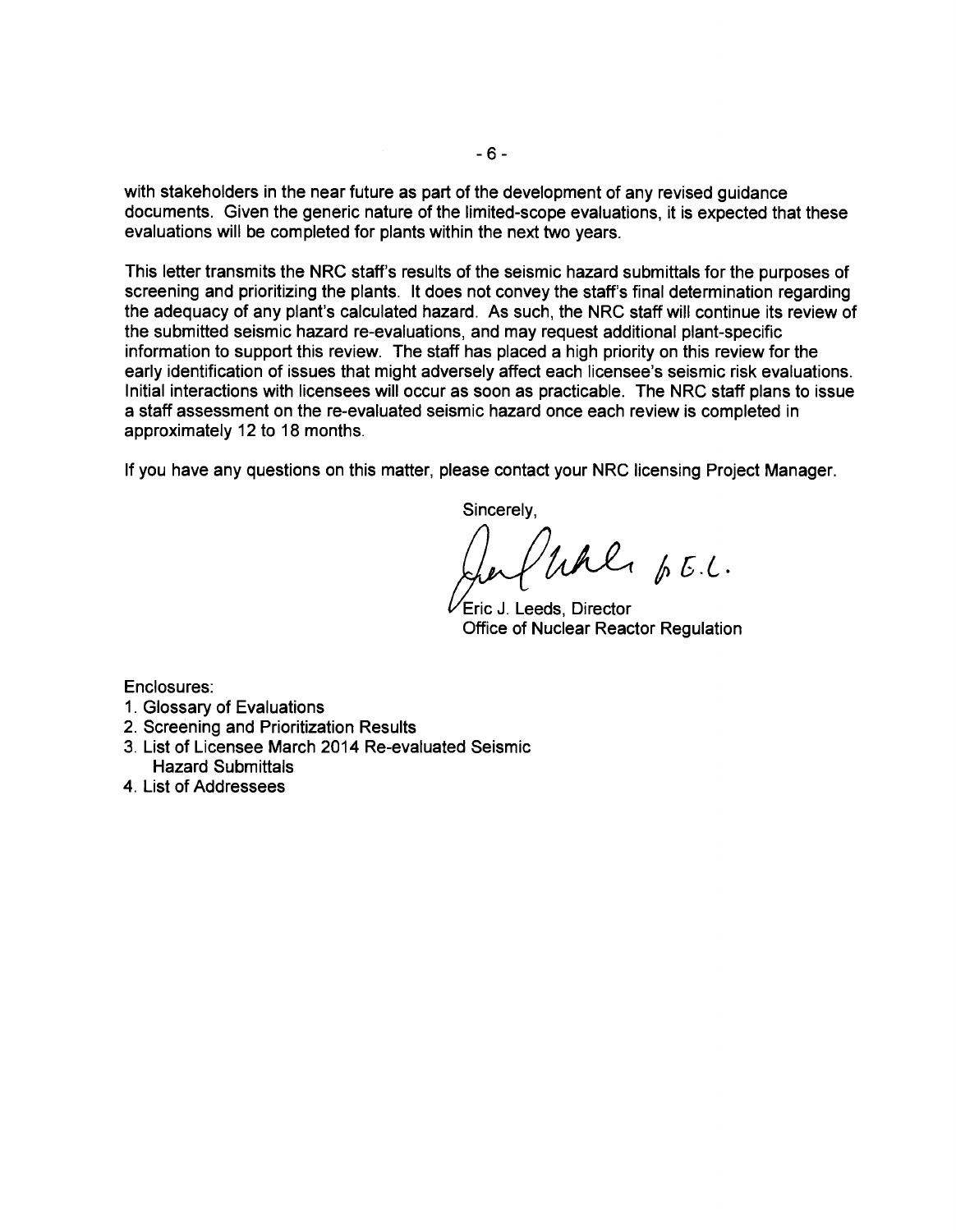with stakeholders in the near future as part of the development of any revised guidance documents. Given the generic nature of the limited-scope evaluations, it is expected that these evaluations will be completed for plants within the next two years.

This letter transmits the NRC staff's results of the seismic hazard submittals for the purposes of screening and prioritizing the plants. It does not convey the staff's final determination regarding the adequacy of any plant's calculated hazard. As such, the NRC staff will continue its review of the submitted seismic hazard re-evaluations, and may request additional plant-specific information to support this review. The staff has placed a high priority on this review for the early identification of issues that might adversely affect each licensee's seismic risk evaluations. Initial interactions with licensees will occur as soon as practicable. The NRC staff plans to issue a staff assessment on the re-evaluated seismic hazard once each review is completed in approximately 12 to 18 months.

If you have any questions on this matter, please contact your NRC licensing Project Manager.

Sincerely,

Uhli p.E.L.

Eric J. Leeds, Director Office of Nuclear Reactor Regulation

Enclosures:

- 1. Glossary of Evaluations
- 2. Screening and Prioritization Results
- 3. List of Licensee March 2014 Re-evaluated Seismic Hazard Submittals
- 4. List of Addressees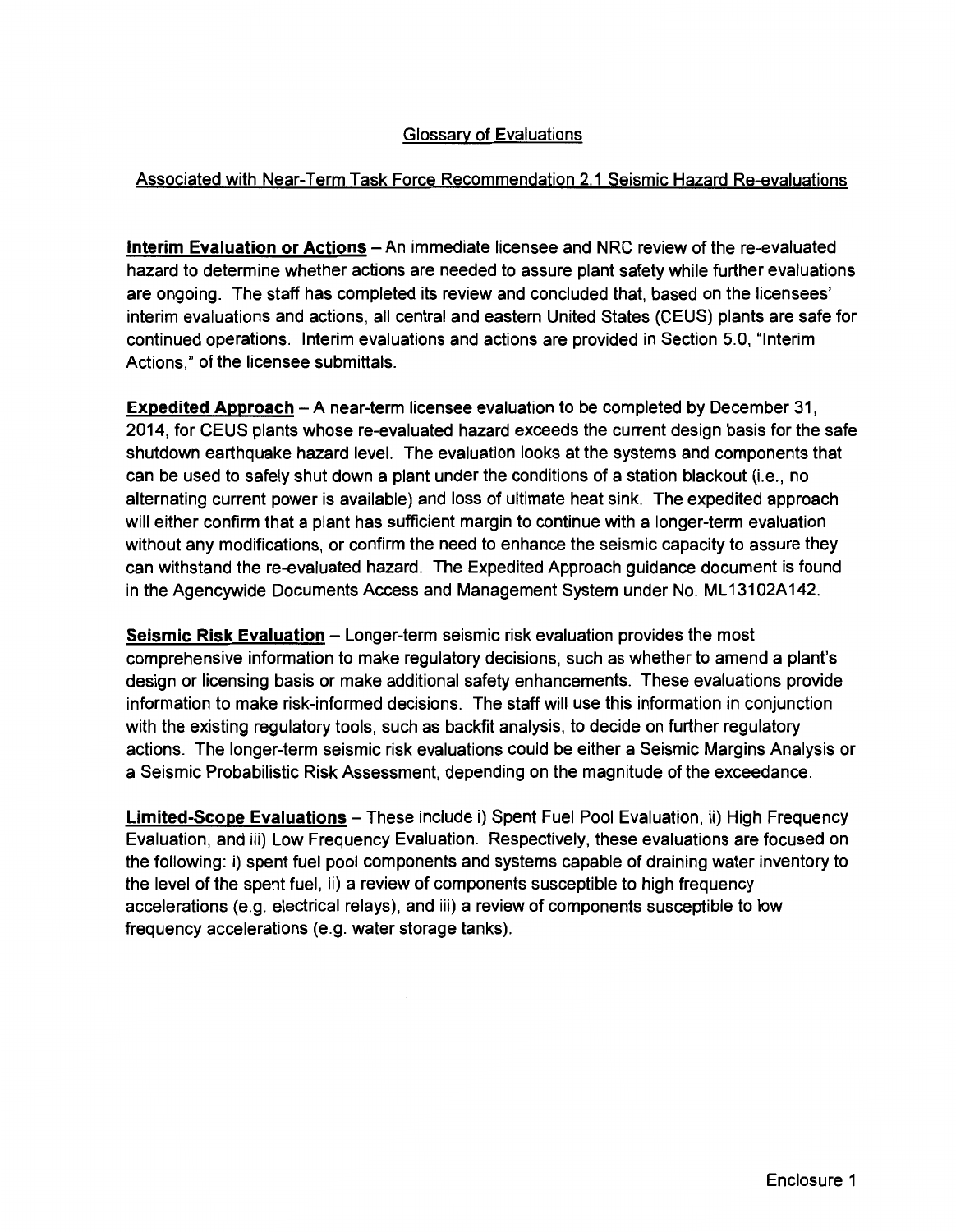### Glossary of Evaluations

### Associated with Near-Term Task Force Recommendation 2.1 Seismic Hazard Re-evaluations

**Interim Evaluation or Actions-** An immediate licensee and NRC review of the re-evaluated hazard to determine whether actions are needed to assure plant safety while further evaluations are ongoing. The staff has completed its review and concluded that, based on the licensees' interim evaluations and actions, all central and eastern United States (CEUS) plants are safe for continued operations. Interim evaluations and actions are provided in Section 5.0, "Interim Actions," of the licensee submittals.

**Expedited Approach-** A near-term licensee evaluation to be completed by December 31, 2014, for CEUS plants whose re-evaluated hazard exceeds the current design basis for the safe shutdown earthquake hazard level. The evaluation looks at the systems and components that can be used to safely shut down a plant under the conditions of a station blackout (i.e., no alternating current power is available) and loss of ultimate heat sink. The expedited approach will either confirm that a plant has sufficient margin to continue with a longer-term evaluation without any modifications, or confirm the need to enhance the seismic capacity to assure they can withstand the re-evaluated hazard. The Expedited Approach guidance document is found in the Agencywide Documents Access and Management System under No. ML13102A142.

**Seismic Risk Evaluation - Longer-term seismic risk evaluation provides the most** comprehensive information to make regulatory decisions, such as whether to amend a plant's design or licensing basis or make additional safety enhancements. These evaluations provide information to make risk-informed decisions. The staff will use this information in conjunction with the existing regulatory tools, such as backfit analysis, to decide on further regulatory actions. The longer-term seismic risk evaluations could be either a Seismic Margins Analysis or a Seismic Probabilistic Risk Assessment, depending on the magnitude of the exceedance.

Limited-Scope Evaluations - These include i) Spent Fuel Pool Evaluation, ii) High Frequency Evaluation, and iii) Low Frequency Evaluation. Respectively, these evaluations are focused on the following: i) spent fuel pool components and systems capable of draining water inventory to the level of the spent fuel, ii) a review of components susceptible to high frequency accelerations (e.g. electrical relays), and iii) a review of components susceptible to low frequency accelerations (e.g. water storage tanks).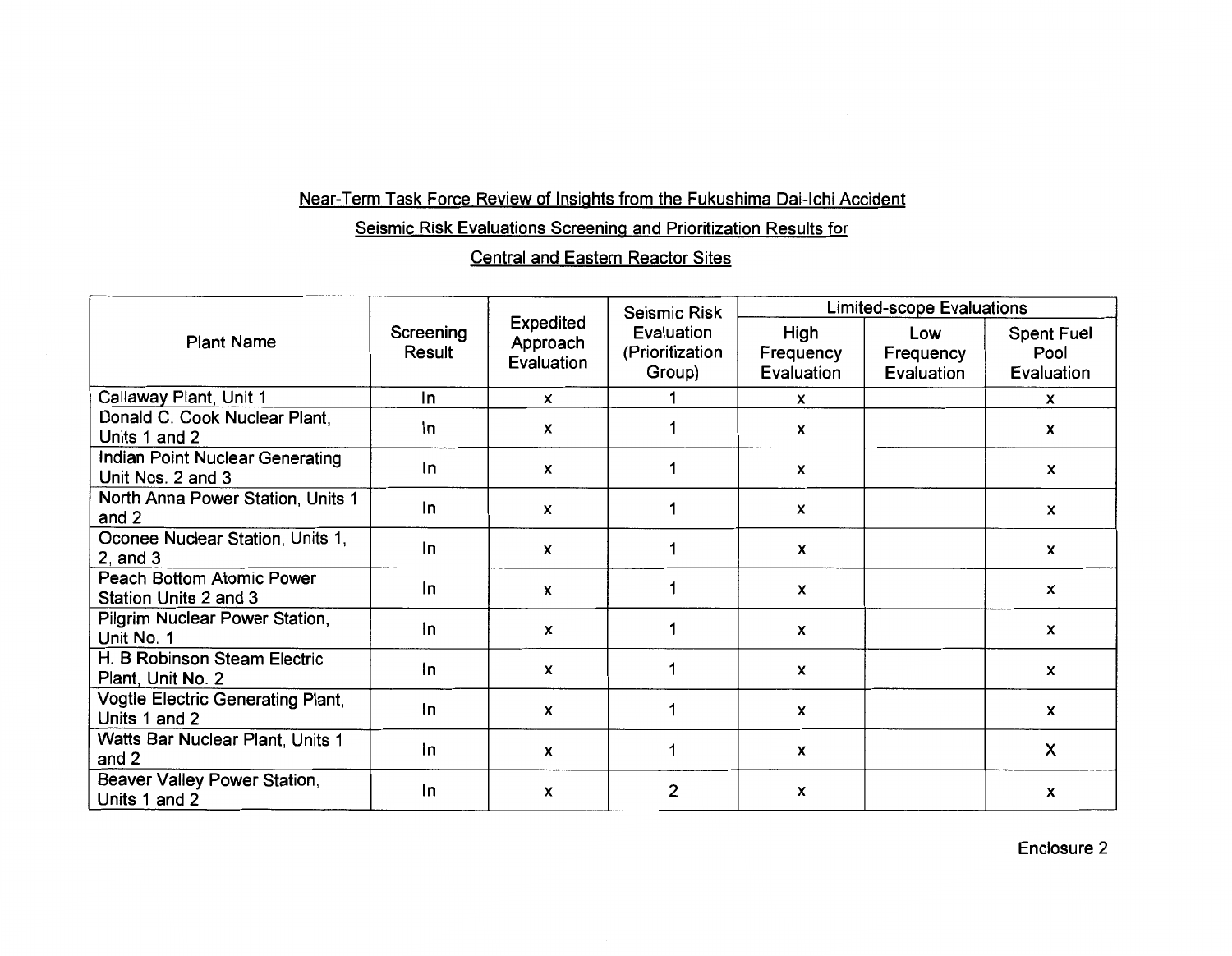## Near-Term Task Force Review of Insights from the Fukushima Dai-lchi Accident

Seismic Risk Evaluations Screening and Prioritization Results for

### Central and Eastern Reactor Sites

| <b>Plant Name</b>                                    | Screening<br>Result | <b>Expedited</b><br>Approach<br>Evaluation | <b>Seismic Risk</b><br>Evaluation<br>(Prioritization<br>Group) | <b>Limited-scope Evaluations</b> |                                |                                         |
|------------------------------------------------------|---------------------|--------------------------------------------|----------------------------------------------------------------|----------------------------------|--------------------------------|-----------------------------------------|
|                                                      |                     |                                            |                                                                | High<br>Frequency<br>Evaluation  | Low<br>Frequency<br>Evaluation | <b>Spent Fuel</b><br>Pool<br>Evaluation |
| Callaway Plant, Unit 1                               | In                  | X                                          |                                                                | x                                |                                | x                                       |
| Donald C. Cook Nuclear Plant,<br>Units 1 and 2       | In                  | X                                          |                                                                | $\boldsymbol{\mathsf{x}}$        |                                | X                                       |
| Indian Point Nuclear Generating<br>Unit Nos. 2 and 3 | In                  | X                                          |                                                                | X                                |                                | X                                       |
| North Anna Power Station, Units 1<br>and 2           | In                  | X                                          |                                                                | X                                |                                | x                                       |
| Oconee Nuclear Station, Units 1,<br>$2$ , and $3$    | In                  | X                                          |                                                                | X                                |                                | x                                       |
| Peach Bottom Atomic Power<br>Station Units 2 and 3   | In                  | X                                          |                                                                | X                                |                                | x                                       |
| Pilgrim Nuclear Power Station,<br>Unit No. 1         | In                  | $\boldsymbol{x}$                           |                                                                | X                                |                                | $\mathsf{x}$                            |
| H. B Robinson Steam Electric<br>Plant, Unit No. 2    | In                  | $\mathbf x$                                | 1                                                              | $\mathsf{x}$                     |                                | x                                       |
| Vogtle Electric Generating Plant,<br>Units 1 and 2   | In                  | X                                          |                                                                | x                                |                                | $\mathsf{x}$                            |
| Watts Bar Nuclear Plant, Units 1<br>and 2            | In                  | $\mathbf{x}$                               |                                                                | X                                |                                | X                                       |
| Beaver Valley Power Station,<br>Units 1 and 2        | In                  | x                                          | $\overline{2}$                                                 | X                                |                                | X                                       |

Enclosure 2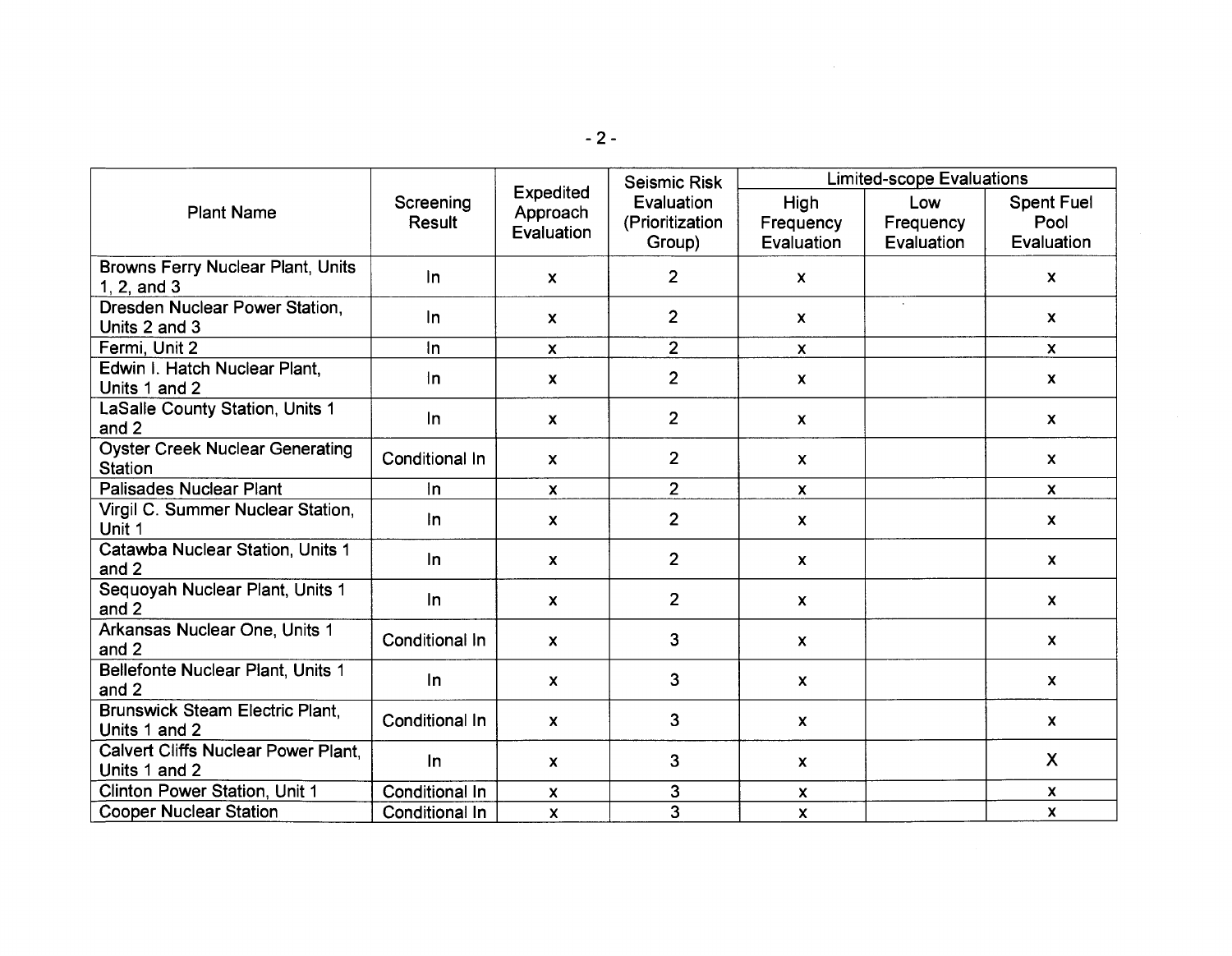| <b>Plant Name</b>                                        |                            | <b>Expedited</b><br>Approach<br>Evaluation | <b>Seismic Risk</b><br>Evaluation<br>(Prioritization<br>Group) | <b>Limited-scope Evaluations</b> |                                |                                         |
|----------------------------------------------------------|----------------------------|--------------------------------------------|----------------------------------------------------------------|----------------------------------|--------------------------------|-----------------------------------------|
|                                                          | Screening<br><b>Result</b> |                                            |                                                                | High<br>Frequency<br>Evaluation  | Low<br>Frequency<br>Evaluation | <b>Spent Fuel</b><br>Pool<br>Evaluation |
| Browns Ferry Nuclear Plant, Units<br>1, 2, and 3         | In.                        | $\boldsymbol{\mathsf{x}}$                  | $\overline{2}$                                                 | $\mathbf{x}$                     |                                | $\pmb{\mathsf{X}}$                      |
| Dresden Nuclear Power Station,<br>Units 2 and 3          | In.                        | $\mathbf{x}$                               | $\overline{2}$                                                 | $\mathbf{x}$                     | $\sim$                         | $\mathbf{x}$                            |
| Fermi, Unit 2                                            | $\ln$                      | $\mathbf{x}$                               | $\overline{2}$                                                 | $\mathsf{x}$                     |                                | $\mathbf{x}$                            |
| Edwin I. Hatch Nuclear Plant,<br>Units 1 and 2           | $\ln$                      | $\mathbf{x}$                               | $\overline{2}$                                                 | $\mathbf{x}$                     |                                | $\mathbf{x}$                            |
| LaSalle County Station, Units 1<br>and 2                 | $\ln$                      | $\mathbf{x}$                               | $\overline{2}$                                                 | $\mathsf{x}$                     |                                | $\mathbf{x}$                            |
| <b>Oyster Creek Nuclear Generating</b><br><b>Station</b> | Conditional In             | $\mathbf{x}$                               | $\overline{2}$                                                 | $\mathsf{x}$                     |                                | $\boldsymbol{\mathsf{x}}$               |
| <b>Palisades Nuclear Plant</b>                           | In                         | $\mathbf{x}$                               | $\overline{2}$                                                 | $\mathsf{x}$                     |                                | $\mathsf{x}$                            |
| Virgil C. Summer Nuclear Station,<br>Unit 1              | In                         | $\mathbf{x}$                               | $\overline{2}$                                                 | $\pmb{\mathsf{x}}$               |                                | $\boldsymbol{\mathsf{x}}$               |
| Catawba Nuclear Station, Units 1<br>and 2                | In.                        | $\mathbf{x}$                               | $\overline{2}$                                                 | $\mathbf{x}$                     |                                | $\mathsf{x}$                            |
| Sequoyah Nuclear Plant, Units 1<br>and 2                 | In.                        | $\mathsf{x}$                               | $\overline{2}$                                                 | $\mathbf{x}$                     |                                | X                                       |
| Arkansas Nuclear One, Units 1<br>and 2                   | Conditional In             | $\boldsymbol{\mathsf{x}}$                  | 3                                                              | $\boldsymbol{\mathsf{x}}$        |                                | $\pmb{\mathsf{X}}$                      |
| Bellefonte Nuclear Plant, Units 1<br>and 2               | $\ln$                      | $\mathbf{x}$                               | 3                                                              | $\boldsymbol{\mathsf{x}}$        |                                | $\mathsf{x}$                            |
| Brunswick Steam Electric Plant,<br>Units 1 and 2         | Conditional In             | $\mathbf{x}$                               | $\mathbf{3}$                                                   | $\mathbf{x}$                     |                                | X.                                      |
| Calvert Cliffs Nuclear Power Plant,<br>Units 1 and 2     | $\ln$                      | $\mathbf{x}$                               | 3                                                              | $\boldsymbol{\mathsf{x}}$        |                                | $\mathsf{X}$                            |
| Clinton Power Station, Unit 1                            | Conditional In             | $\boldsymbol{\mathsf{x}}$                  | 3                                                              | $\boldsymbol{\mathsf{x}}$        |                                | $\boldsymbol{\mathsf{x}}$               |
| <b>Cooper Nuclear Station</b>                            | Conditional In             | $\boldsymbol{\mathsf{x}}$                  | 3                                                              | $\mathbf{x}$                     |                                | $\mathbf{x}$                            |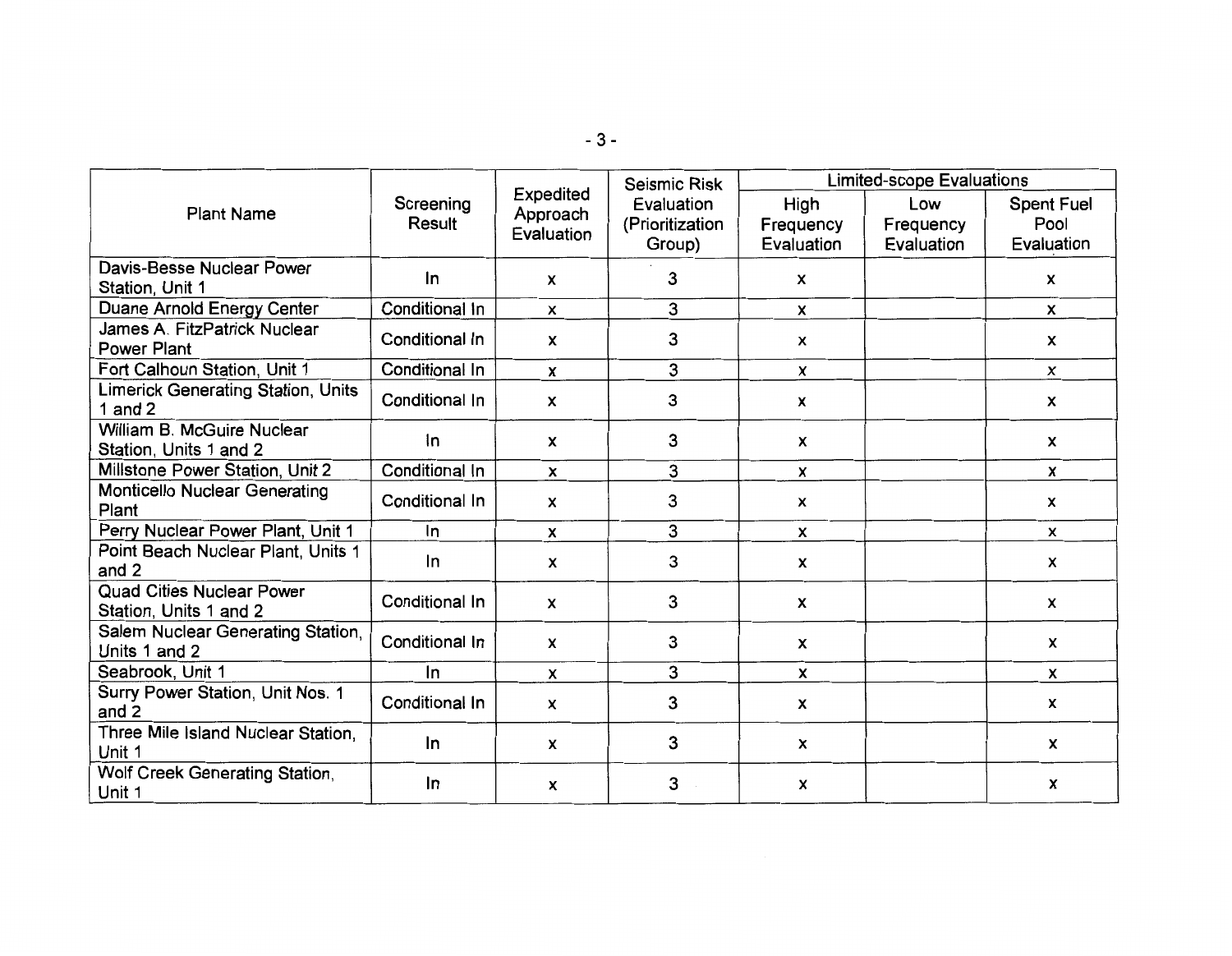| <b>Plant Name</b>                                          |                            | Expedited<br>Approach<br>Evaluation | Seismic Risk                            | Limited-scope Evaluations       |                                |                                         |
|------------------------------------------------------------|----------------------------|-------------------------------------|-----------------------------------------|---------------------------------|--------------------------------|-----------------------------------------|
|                                                            | Screening<br><b>Result</b> |                                     | Evaluation<br>(Prioritization<br>Group) | High<br>Frequency<br>Evaluation | Low<br>Frequency<br>Evaluation | <b>Spent Fuel</b><br>Pool<br>Evaluation |
| Davis-Besse Nuclear Power<br>Station, Unit 1               | $\ln$                      | $\mathsf{x}$                        | 3                                       | $\boldsymbol{\mathsf{x}}$       |                                | $\mathsf{x}$                            |
| Duane Arnold Energy Center                                 | Conditional In             | X                                   | 3                                       | $\mathsf{x}$                    |                                | x                                       |
| James A. FitzPatrick Nuclear<br><b>Power Plant</b>         | Conditional In             | $\pmb{\mathsf{x}}$                  | 3                                       | X                               |                                | $\pmb{\mathsf{x}}$                      |
| Fort Calhoun Station, Unit 1                               | Conditional In             | X                                   | 3                                       | $\mathsf{x}$                    |                                | $\mathsf{x}$                            |
| <b>Limerick Generating Station, Units</b><br>1 and $2$     | Conditional In             | x                                   | 3                                       | x                               |                                | x                                       |
| William B. McGuire Nuclear<br>Station, Units 1 and 2       | $\ln$                      | $\boldsymbol{x}$                    | 3                                       | $\boldsymbol{\mathsf{x}}$       |                                | $\boldsymbol{\mathsf{x}}$               |
| Millstone Power Station, Unit 2                            | Conditional In             | $\boldsymbol{\mathsf{x}}$           | 3                                       | $\mathsf{x}$                    |                                | X                                       |
| <b>Monticello Nuclear Generating</b><br>Plant              | Conditional In             | $\boldsymbol{\mathsf{x}}$           | 3                                       | $\boldsymbol{\mathsf{x}}$       |                                | x                                       |
| Perry Nuclear Power Plant, Unit 1                          | In                         | X                                   | 3                                       | $\mathsf{x}$                    |                                | x                                       |
| Point Beach Nuclear Plant, Units 1<br>and 2                | In                         | X                                   | 3                                       | X                               |                                | X                                       |
| <b>Quad Cities Nuclear Power</b><br>Station, Units 1 and 2 | Conditional In             | X                                   | 3                                       | $\pmb{\mathsf{x}}$              |                                | X                                       |
| Salem Nuclear Generating Station,<br>Units 1 and 2         | Conditional In             | X                                   | 3                                       | $\pmb{\mathsf{x}}$              |                                | $\pmb{\mathsf{x}}$                      |
| Seabrook, Unit 1                                           | $\ln$                      | X                                   | 3                                       | $\mathsf{x}$                    |                                | $\boldsymbol{\mathsf{x}}$               |
| Surry Power Station, Unit Nos. 1<br>and 2                  | Conditional In             | X                                   | 3                                       | X                               |                                | x                                       |
| Three Mile Island Nuclear Station,<br>Unit 1               | In                         | X                                   | 3                                       | $\boldsymbol{x}$                |                                | x                                       |
| Wolf Creek Generating Station,<br>Unit 1                   | $\ln$                      | $\pmb{\times}$                      | 3                                       | X                               |                                | X                                       |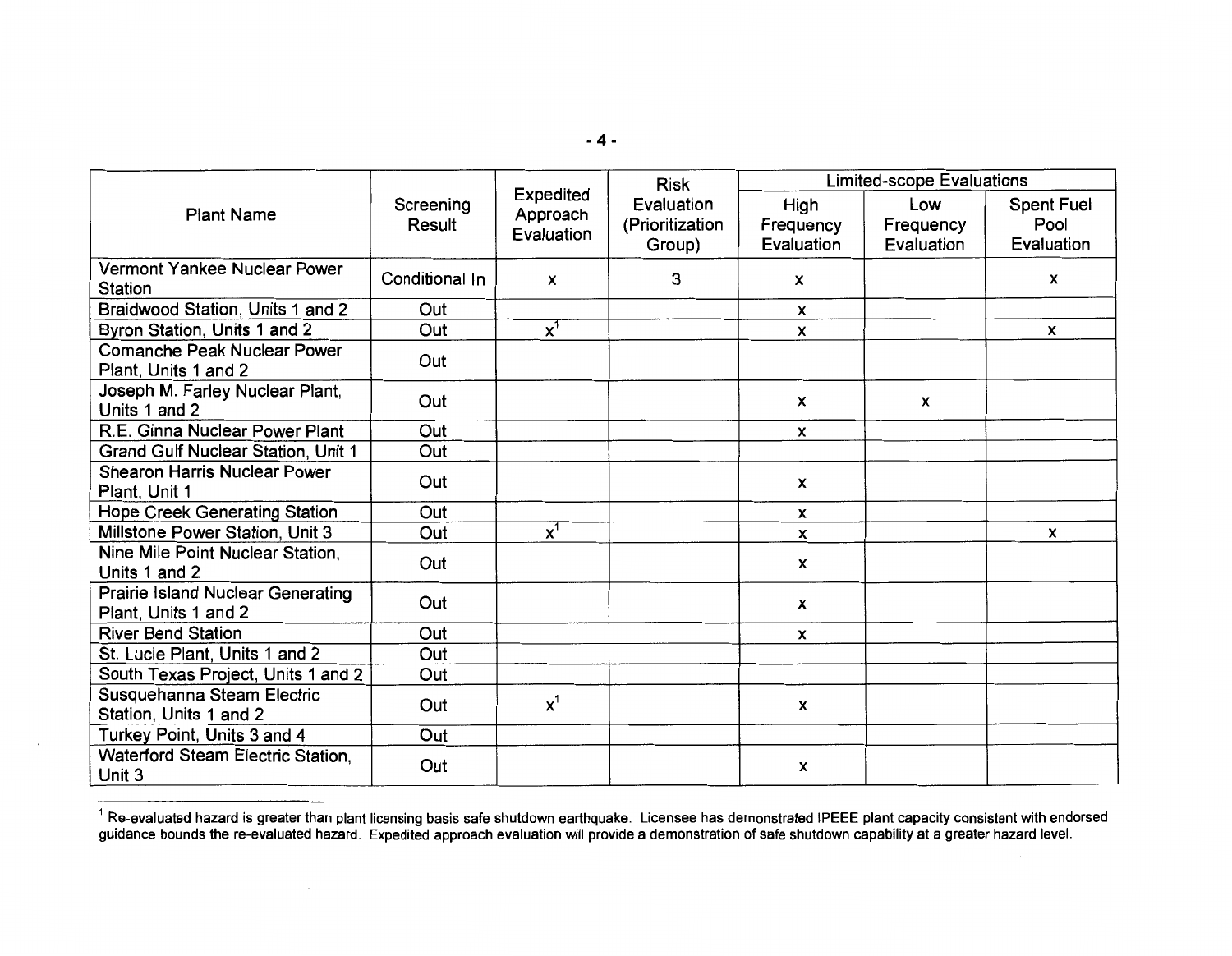|                                                                  |                     | Expedited<br>Approach<br>Evaluation | <b>Risk</b>                             | Limited-scope Evaluations       |                                |                                         |
|------------------------------------------------------------------|---------------------|-------------------------------------|-----------------------------------------|---------------------------------|--------------------------------|-----------------------------------------|
| <b>Plant Name</b>                                                | Screening<br>Result |                                     | Evaluation<br>(Prioritization<br>Group) | High<br>Frequency<br>Evaluation | Low<br>Frequency<br>Evaluation | <b>Spent Fuel</b><br>Pool<br>Evaluation |
| Vermont Yankee Nuclear Power<br>Station                          | Conditional In      | $\mathsf{x}$                        | 3                                       | $\boldsymbol{\mathsf{x}}$       |                                | x                                       |
| Braidwood Station, Units 1 and 2                                 | Out                 |                                     |                                         | X                               |                                |                                         |
| Byron Station, Units 1 and 2                                     | Out                 | $x^1$                               |                                         | x                               |                                | X                                       |
| <b>Comanche Peak Nuclear Power</b><br>Plant, Units 1 and 2       | Out                 |                                     |                                         |                                 |                                |                                         |
| Joseph M. Farley Nuclear Plant,<br>Units 1 and 2                 | Out                 |                                     |                                         | $\boldsymbol{x}$                | X                              |                                         |
| R.E. Ginna Nuclear Power Plant                                   | Out                 |                                     |                                         | X                               |                                |                                         |
| <b>Grand Gulf Nuclear Station, Unit 1</b>                        | Out                 |                                     |                                         |                                 |                                |                                         |
| <b>Shearon Harris Nuclear Power</b><br>Plant, Unit 1             | Out                 |                                     |                                         | x                               |                                |                                         |
| <b>Hope Creek Generating Station</b>                             | Out                 |                                     |                                         | x                               |                                |                                         |
| Millstone Power Station, Unit 3                                  | Out                 | $\mathbf{x}^1$                      |                                         | X                               |                                | X                                       |
| Nine Mile Point Nuclear Station,<br>Units 1 and 2                | Out                 |                                     |                                         | $\boldsymbol{x}$                |                                |                                         |
| <b>Prairie Island Nuclear Generating</b><br>Plant, Units 1 and 2 | Out                 |                                     |                                         | X                               |                                |                                         |
| <b>River Bend Station</b>                                        | Out                 |                                     |                                         | x                               |                                |                                         |
| St. Lucie Plant, Units 1 and 2                                   | Out                 |                                     |                                         |                                 |                                |                                         |
| South Texas Project, Units 1 and 2                               | Out                 |                                     |                                         |                                 |                                |                                         |
| Susquehanna Steam Electric<br>Station, Units 1 and 2             | Out                 | $x^1$                               |                                         | $\boldsymbol{\mathsf{x}}$       |                                |                                         |
| Turkey Point, Units 3 and 4                                      | Out                 |                                     |                                         |                                 |                                |                                         |
| Waterford Steam Electric Station.<br>Unit 3                      | Out                 |                                     |                                         | x                               |                                |                                         |

 $^1$  Re-evaluated hazard is greater than plant licensing basis safe shutdown earthquake. Licensee has demonstrated IPEEE plant capacity consistent with endorsed guidance bounds the re-evaluated hazard. Expedited approach evaluation will provide a demonstration of safe shutdown capability at a greater hazard level.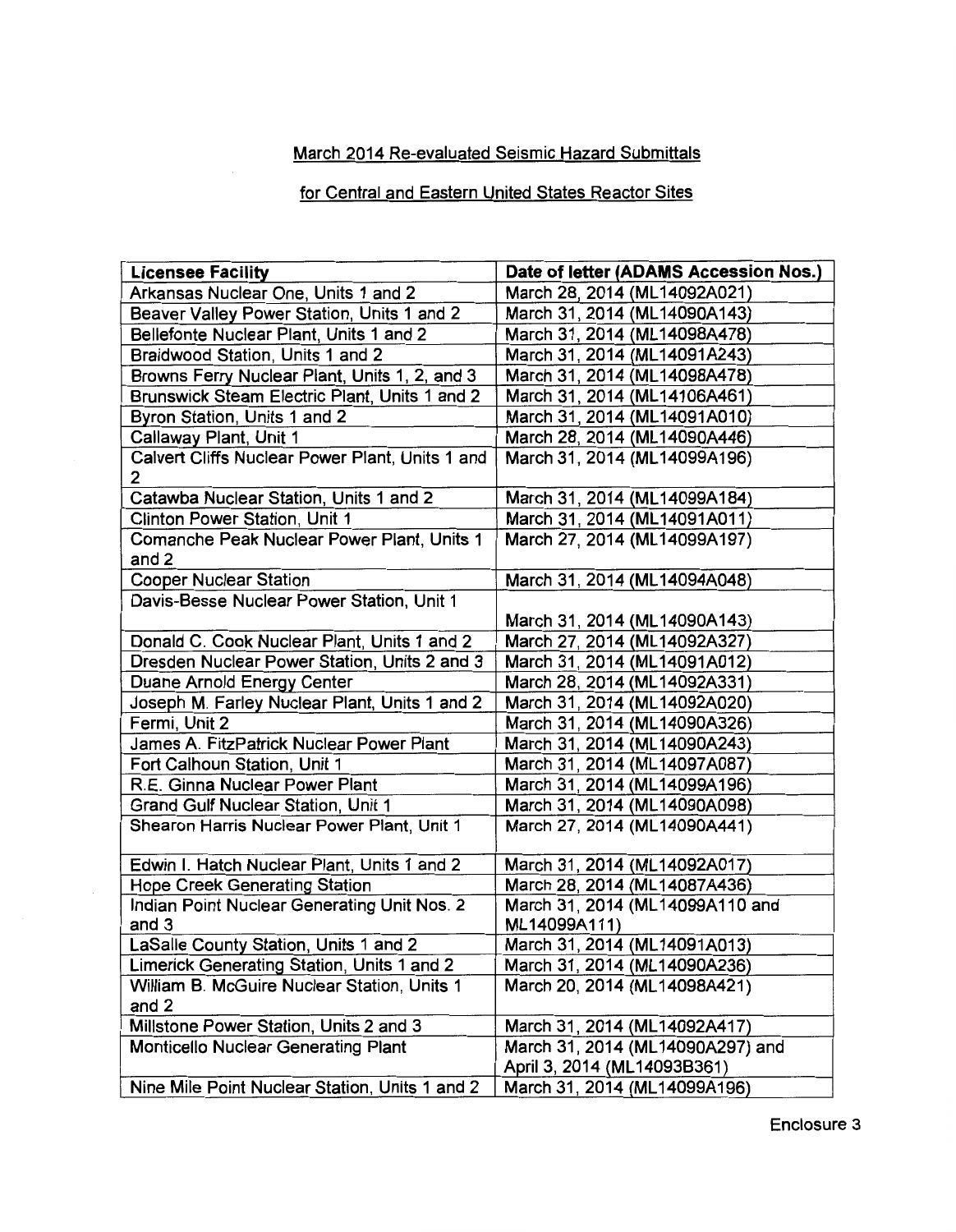# March 2014 Re-evaluated Seismic Hazard Submittals

# for Central and Eastern United States Reactor Sites

| <b>Licensee Facility</b>                              | Date of letter (ADAMS Accession Nos.) |
|-------------------------------------------------------|---------------------------------------|
| Arkansas Nuclear One, Units 1 and 2                   | March 28, 2014 (ML14092A021)          |
| Beaver Valley Power Station, Units 1 and 2            | March 31, 2014 (ML14090A143)          |
| Bellefonte Nuclear Plant, Units 1 and 2               | March 31, 2014 (ML14098A478)          |
| Braidwood Station, Units 1 and 2                      | March 31, 2014 (ML14091A243)          |
| Browns Ferry Nuclear Plant, Units 1, 2, and 3         | March 31, 2014 (ML14098A478)          |
| Brunswick Steam Electric Plant, Units 1 and 2         | March 31, 2014 (ML14106A461)          |
| Byron Station, Units 1 and 2                          | March 31, 2014 (ML14091A010)          |
| Callaway Plant, Unit 1                                | March 28, 2014 (ML14090A446)          |
| Calvert Cliffs Nuclear Power Plant, Units 1 and<br>2. | March 31, 2014 (ML14099A196)          |
| Catawba Nuclear Station, Units 1 and 2                | March 31, 2014 (ML14099A184)          |
| Clinton Power Station, Unit 1                         | March 31, 2014 (ML14091A011)          |
| Comanche Peak Nuclear Power Plant, Units 1<br>and 2   | March 27, 2014 (ML14099A197)          |
| <b>Cooper Nuclear Station</b>                         | March 31, 2014 (ML14094A048)          |
| Davis-Besse Nuclear Power Station, Unit 1             | March 31, 2014 (ML14090A143)          |
| Donald C. Cook Nuclear Plant, Units 1 and 2           | March 27, 2014 (ML14092A327)          |
| Dresden Nuclear Power Station, Units 2 and 3          | March 31, 2014 (ML14091A012)          |
| Duane Arnold Energy Center                            | March 28, 2014 (ML14092A331)          |
| Joseph M. Farley Nuclear Plant, Units 1 and 2         | March 31, 2014 (ML14092A020)          |
| Fermi, Unit 2                                         | March 31, 2014 (ML14090A326)          |
| James A. FitzPatrick Nuclear Power Plant              | March 31, 2014 (ML14090A243)          |
| Fort Calhoun Station, Unit 1                          | March 31, 2014 (ML14097A087)          |
| R.E. Ginna Nuclear Power Plant                        | March 31, 2014 (ML14099A196)          |
| <b>Grand Gulf Nuclear Station, Unit 1</b>             | March 31, 2014 (ML14090A098)          |
| Shearon Harris Nuclear Power Plant, Unit 1            | March 27, 2014 (ML14090A441)          |
| Edwin I. Hatch Nuclear Plant, Units 1 and 2           | March 31, 2014 (ML14092A017)          |
| <b>Hope Creek Generating Station</b>                  | March 28, 2014 (ML14087A436)          |
| Indian Point Nuclear Generating Unit Nos. 2           | March 31, 2014 (ML14099A110 and       |
| and 3                                                 | ML14099A111)                          |
| LaSalle County Station, Units 1 and 2                 | March 31, 2014 (ML14091A013)          |
| Limerick Generating Station, Units 1 and 2            | March 31, 2014 (ML14090A236)          |
| William B. McGuire Nuclear Station, Units 1<br>and 2  | March 20, 2014 (ML14098A421)          |
| Millstone Power Station, Units 2 and 3                | March 31, 2014 (ML14092A417)          |
| <b>Monticello Nuclear Generating Plant</b>            | March 31, 2014 (ML14090A297) and      |
|                                                       | April 3, 2014 (ML14093B361)           |
| Nine Mile Point Nuclear Station, Units 1 and 2        | March 31, 2014 (ML14099A196)          |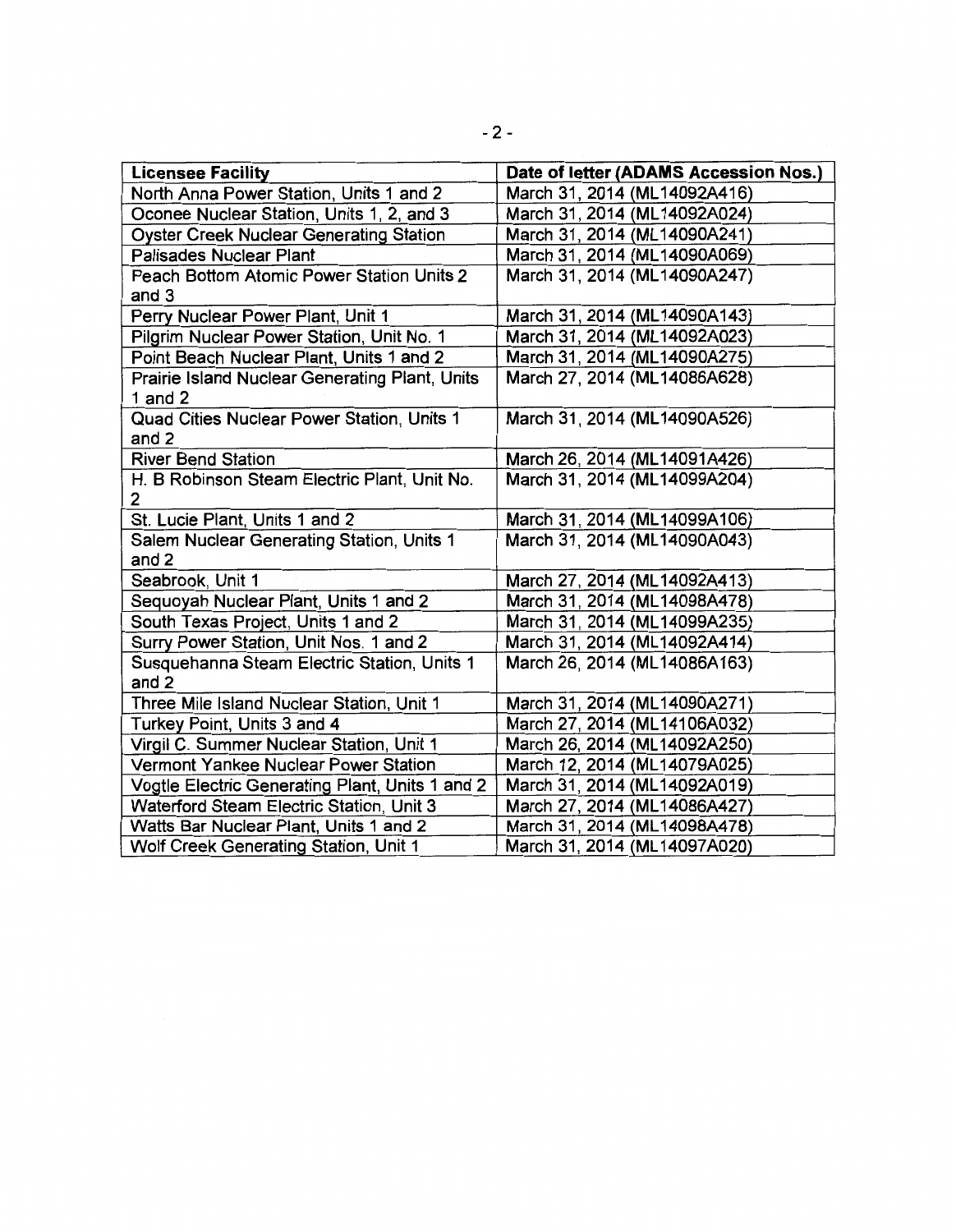| <b>Licensee Facility</b>                        | Date of letter (ADAMS Accession Nos.) |
|-------------------------------------------------|---------------------------------------|
| North Anna Power Station, Units 1 and 2         | March 31, 2014 (ML14092A416)          |
| Oconee Nuclear Station, Units 1, 2, and 3       | March 31, 2014 (ML14092A024)          |
| <b>Oyster Creek Nuclear Generating Station</b>  | March 31, 2014 (ML14090A241)          |
| <b>Palisades Nuclear Plant</b>                  | March 31, 2014 (ML14090A069)          |
| Peach Bottom Atomic Power Station Units 2       | March 31, 2014 (ML14090A247)          |
| and 3                                           |                                       |
| Perry Nuclear Power Plant, Unit 1               | March 31, 2014 (ML14090A143)          |
| Pilgrim Nuclear Power Station, Unit No. 1       | March 31, 2014 (ML14092A023)          |
| Point Beach Nuclear Plant, Units 1 and 2        | March 31, 2014 (ML14090A275)          |
| Prairie Island Nuclear Generating Plant, Units  | March 27, 2014 (ML14086A628)          |
| 1 and $2$                                       |                                       |
| Quad Cities Nuclear Power Station, Units 1      | March 31, 2014 (ML14090A526)          |
| and 2                                           |                                       |
| <b>River Bend Station</b>                       | March 26, 2014 (ML14091A426)          |
| H. B Robinson Steam Electric Plant, Unit No.    | March 31, 2014 (ML14099A204)          |
| $\mathbf{2}$                                    |                                       |
| St. Lucie Plant, Units 1 and 2                  | March 31, 2014 (ML14099A106)          |
| Salem Nuclear Generating Station, Units 1       | March 31, 2014 (ML14090A043)          |
| and 2                                           |                                       |
| Seabrook, Unit 1                                | March 27, 2014 (ML14092A413)          |
| Sequoyah Nuclear Plant, Units 1 and 2           | March 31, 2014 (ML14098A478)          |
| South Texas Project, Units 1 and 2              | March 31, 2014 (ML14099A235)          |
| Surry Power Station, Unit Nos. 1 and 2          | March 31, 2014 (ML14092A414)          |
| Susquehanna Steam Electric Station, Units 1     | March 26, 2014 (ML14086A163)          |
| and 2                                           |                                       |
| Three Mile Island Nuclear Station, Unit 1       | March 31, 2014 (ML14090A271)          |
| Turkey Point, Units 3 and 4                     | March 27, 2014 (ML14106A032)          |
| Virgil C. Summer Nuclear Station, Unit 1        | March 26, 2014 (ML14092A250)          |
| Vermont Yankee Nuclear Power Station            | March 12, 2014 (ML14079A025)          |
| Vogtle Electric Generating Plant, Units 1 and 2 | March 31, 2014 (ML14092A019)          |
| Waterford Steam Electric Station, Unit 3        | March 27, 2014 (ML14086A427)          |
| Watts Bar Nuclear Plant, Units 1 and 2          | March 31, 2014 (ML14098A478)          |
| Wolf Creek Generating Station, Unit 1           | March 31, 2014 (ML14097A020)          |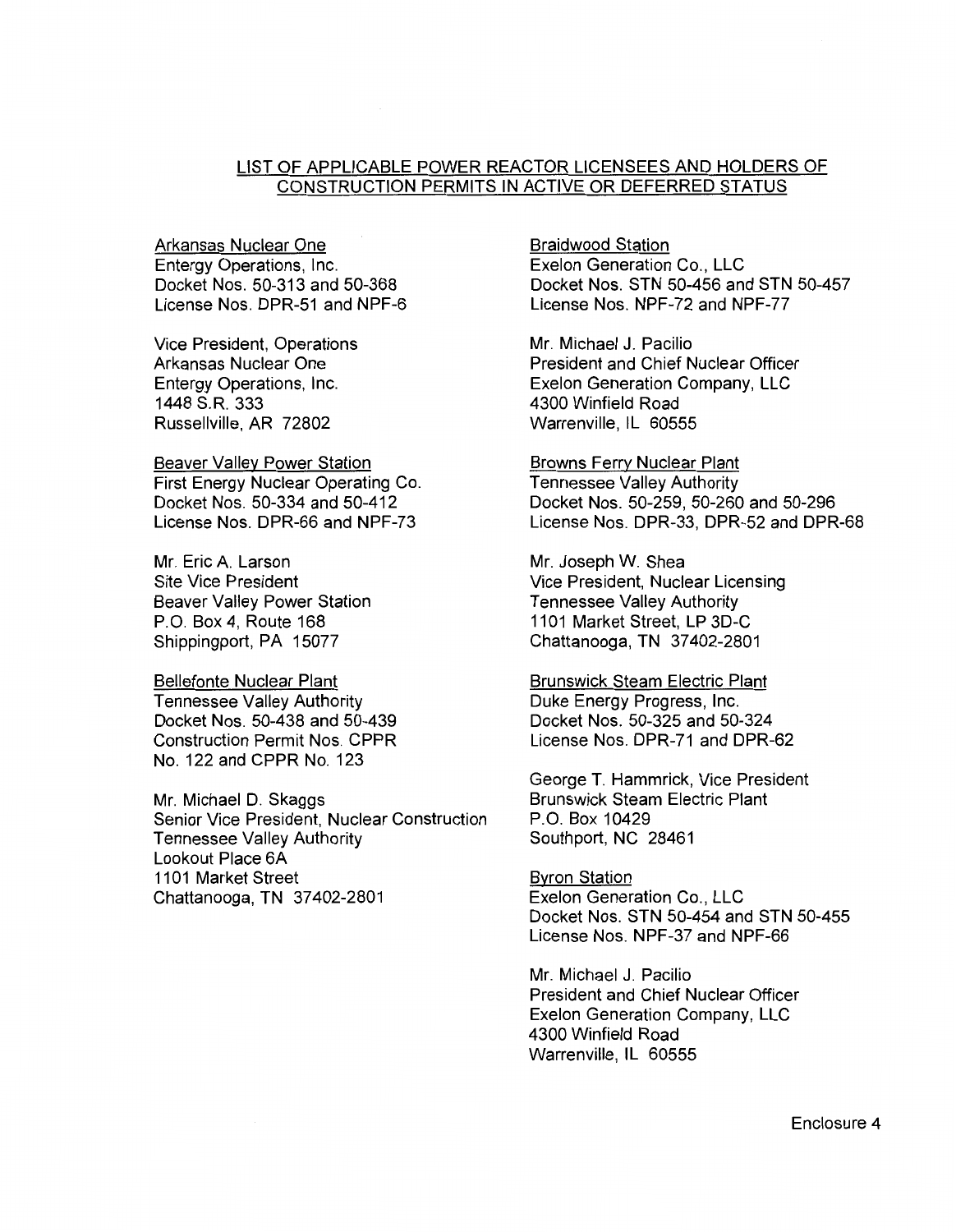### LIST OF APPLICABLE POWER REACTOR LICENSEES AND HOLDERS OF CONSTRUCTION PERMITS IN ACTIVE OR DEFERRED STATUS

Arkansas Nuclear One Entergy Operations, Inc. Docket Nos. 50-313 and 50-368 License Nos. DPR-51 and NPF-6

Vice President, Operations Arkansas Nuclear One Entergy Operations, Inc. 1448 S.R. 333 Russellville, AR 72802

Beaver Valley Power Station First Energy Nuclear Operating Co. Docket Nos. 50-334 and 50-412 License Nos. DPR-66 and NPF-73

Mr. Eric A. Larson Site Vice President Beaver Valley Power Station P.O. Box 4, Route 168 Shippingport, PA 15077

Bellefonte Nuclear Plant Tennessee Valley Authority Docket Nos. 50-438 and 50-439 Construction Permit Nos. CPPR No. 122 and CPPR No. 123

Mr. Michael D. Skaggs Senior Vice President, Nuclear Construction Tennessee Valley Authority Lookout Place 6A 1101 Market Street Chattanooga, TN 37402-2801

Braidwood Station Exelon Generation Co., LLC Docket Nos. STN 50-456 and STN 50-457 License Nos. NPF-72 and NPF-77

Mr. Michael J. Pacilio President and Chief Nuclear Officer Exelon Generation Company, LLC 4300 Winfield Road Warrenville, IL 60555

Browns Ferry Nuclear Plant Tennessee Valley Authority Docket Nos. 50-259, 50-260 and 50-296 License Nos. DPR-33, DPR-52 and DPR-68

Mr. Joseph W. Shea Vice President, Nuclear Licensing Tennessee Valley Authority 1101 Market Street, LP 3D-C Chattanooga, TN 37402-2801

Brunswick Steam Electric Plant Duke Energy Progress, Inc. Docket Nos. 50-325 and 50-324 License Nos. DPR-71 and DPR-62

George T. Hammrick, Vice President Brunswick Steam Electric Plant P.O. Box 10429 Southport, NC 28461

Byron Station Exelon Generation Co., LLC Docket Nos. STN 50-454 and STN 50-455 License Nos. NPF-37 and NPF-66

Mr. Michael J. Pacilio President and Chief Nuclear Officer Exelon Generation Company, LLC 4300 Winfield Road Warrenville, IL 60555

Enclosure 4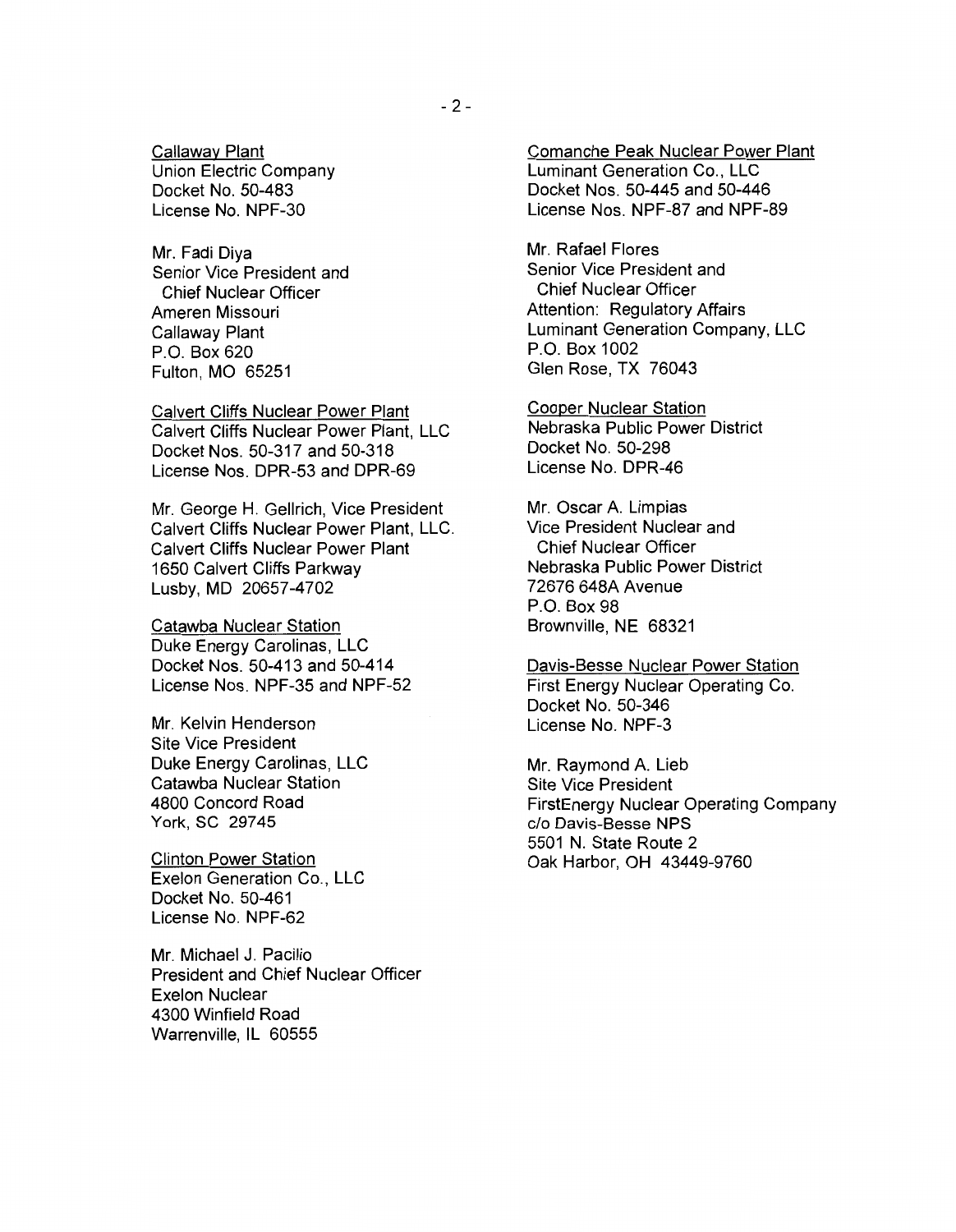Callaway Plant Union Electric Company Docket No. 50-483 License No. NPF-30

Mr. Fadi Diya Senior Vice President and Chief Nuclear Officer Ameren Missouri Callaway Plant P.O. Box 620 Fulton, MO 65251

Calvert Cliffs Nuclear Power Plant Calvert Cliffs Nuclear Power Plant, LLC Docket Nos. 50-317 and 50-318 License Nos. DPR-53 and DPR-69

Mr. George H. Gellrich, Vice President Calvert Cliffs Nuclear Power Plant, LLC. Calvert Cliffs Nuclear Power Plant 1650 Calvert Cliffs Parkway Lusby, MD 20657-4702

Catawba Nuclear Station Duke Energy Carolinas, LLC Docket Nos. 50-413 and 50-414 License Nos. NPF-35 and NPF-52

Mr. Kelvin Henderson Site Vice President Duke Energy Carolinas, LLC Catawba Nuclear Station 4800 Concord Road York, SC 29745

Clinton Power Station Exelon Generation Co., LLC Docket No. 50-461 License No. NPF-62

Mr. Michael J. Pacilio President and Chief Nuclear Officer Exelon Nuclear 4300 Winfield Road Warrenville, IL 60555

Comanche Peak Nuclear Power Plant Luminant Generation Co., LLC Docket Nos. 50-445 and 50-446 License Nos. NPF-87 and NPF-89

Mr. Rafael Flores Senior Vice President and Chief Nuclear Officer Attention: Regulatory Affairs Luminant Generation Company, LLC P.O. Box 1002 Glen Rose, TX 76043

Cooper Nuclear Station Nebraska Public Power District Docket No. 50-298 License No. DPR-46

Mr. Oscar A. Limpias Vice President Nuclear and Chief Nuclear Officer Nebraska Public Power District 72676 648A Avenue P.O. Box 98 Brownville, NE 68321

#### Davis-Besse Nuclear Power Station First Energy Nuclear Operating Co. Docket No. 50-346 License No. NPF-3

Mr. Raymond A. Lieb Site Vice President FirstEnergy Nuclear Operating Company c/o Davis-Besse NPS 5501 N. State Route 2 Oak Harbor, OH 43449-9760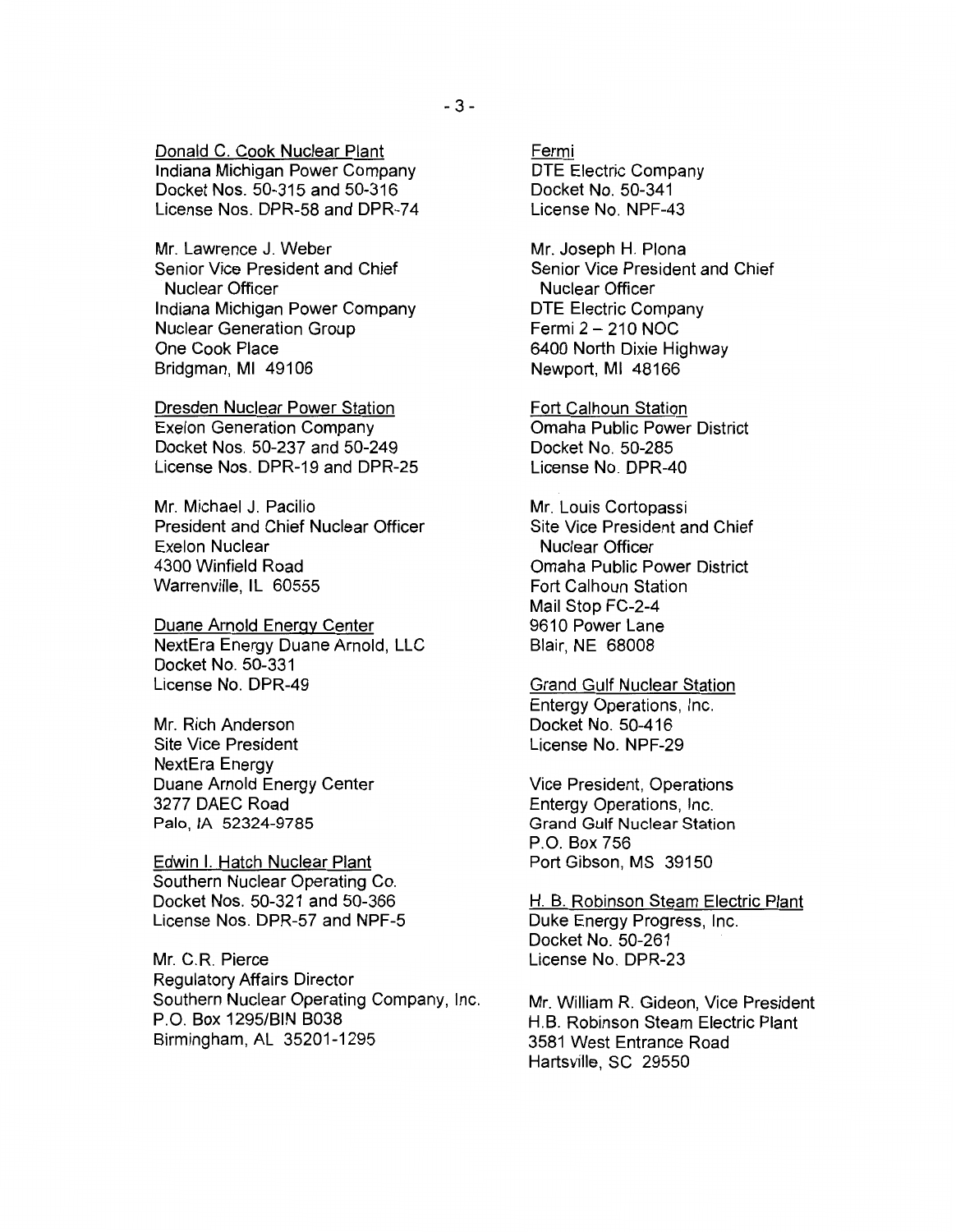Donald C. Cook Nuclear Plant Indiana Michigan Power Company Docket Nos. 50-315 and 50-316 License Nos. DPR-58 and DPR-74

Mr. Lawrence J. Weber Senior Vice President and Chief Nuclear Officer Indiana Michigan Power Company Nuclear Generation Group One Cook Place Bridgman, Ml 49106

Dresden Nuclear Power Station Exelon Generation Company Docket Nos. 50-237 and 50-249 License Nos. DPR-19 and DPR-25

Mr. Michael J. Pacilio President and Chief Nuclear Officer Exelon Nuclear 4300 Winfield Road Warrenville, IL 60555

Duane Arnold Energy Center NextEra Energy Duane Arnold, LLC Docket No. 50-331 License No. DPR-49

Mr. Rich Anderson Site Vice President NextEra Energy Duane Arnold Energy Center 3277 DAEC Road Palo, lA 52324-9785

Edwin I. Hatch Nuclear Plant Southern Nuclear Operating Co. Docket Nos. 50-321 and 50-366 License Nos. DPR-57 and NPF-5

Mr. C.R. Pierce Regulatory Affairs Director Southern Nuclear Operating Company, Inc. P.O. Box 1295/BIN B038 Birmingham, AL 35201-1295

Fermi DTE Electric Company Docket No. 50-341 License No. NPF-43

Mr. Joseph H. Plona Senior Vice President and Chief Nuclear Officer DTE Electric Company Fermi 2- 210 NOC 6400 North Dixie Highway Newport, Ml 48166

Fort Calhoun Station Omaha Public Power District Docket No. 50-285 License No. DPR-40

Mr. Louis Cortopassi Site Vice President and Chief Nuclear Officer Omaha Public Power District Fort Calhoun Station Mail Stop FC-2-4 9610 Power Lane Blair, NE 68008

Grand Gulf Nuclear Station Entergy Operations, Inc. Docket No. 50-416 License No. NPF-29

Vice President, Operations Entergy Operations, Inc. Grand Gulf Nuclear Station P.O. Box 756 Port Gibson, MS 39150

H. B. Robinson Steam Electric Plant Duke Energy Progress, Inc. Docket No. 50-261 License No. DPR-23

Mr. William R. Gideon, Vice President H.B. Robinson Steam Electric Plant 3581 West Entrance Road Hartsville, SC 29550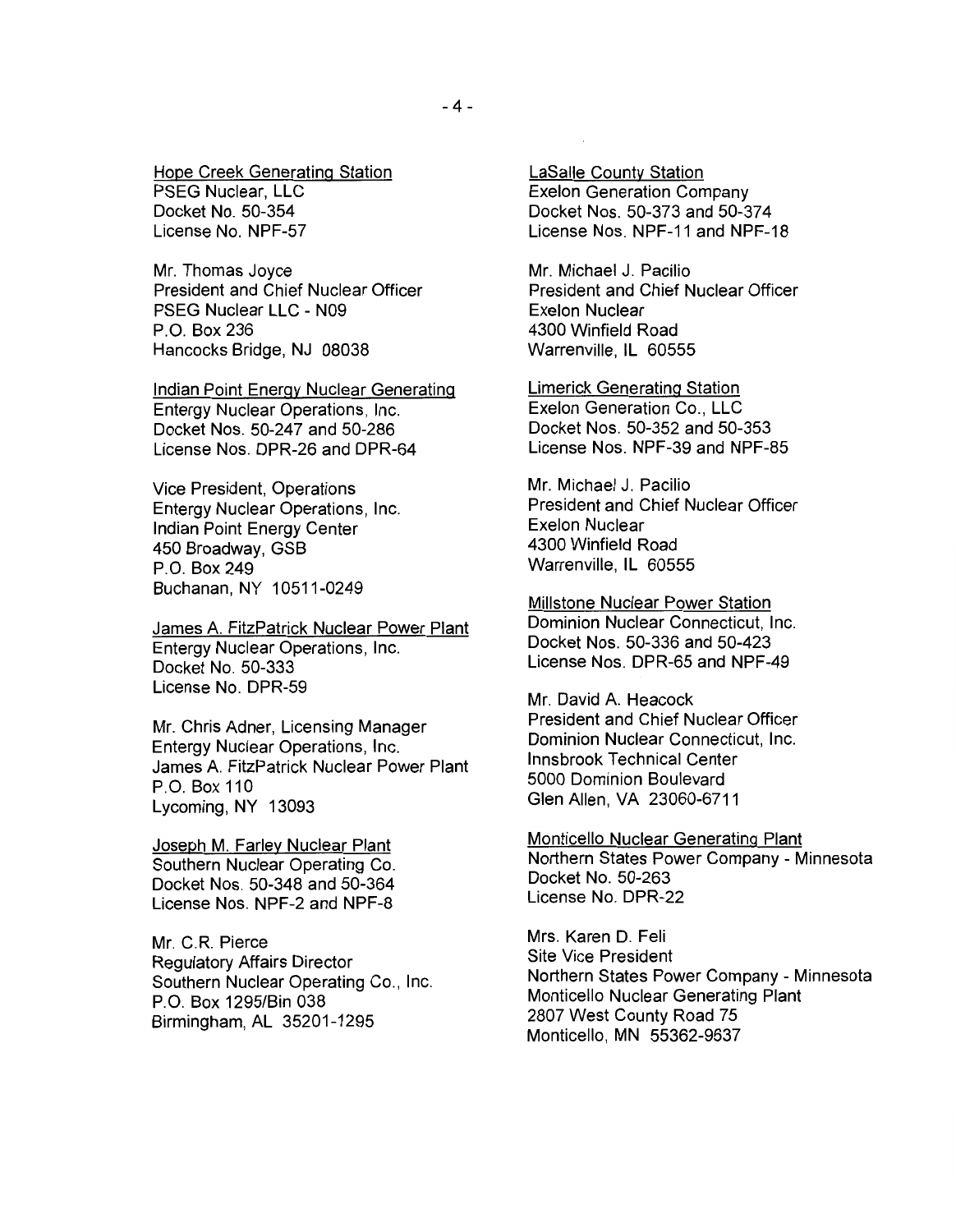Hope Creek Generating Station PSEG Nuclear, LLC Docket No. 50-354 License No. NPF-57

Mr. Thomas Joyce President and Chief Nuclear Officer PSEG Nuclear LLC - N09 P.O. Box 236 Hancocks Bridge, NJ 08038

Indian Point Energy Nuclear Generating Entergy Nuclear Operations, Inc. Docket Nos. 50-247 and 50-286 License Nos. DPR-26 and DPR-64

Vice President, Operations Entergy Nuclear Operations, Inc. Indian Point Energy Center 450 Broadway, GSB P.O. Box 249 Buchanan, NY 10511-0249

James A. FitzPatrick Nuclear Power Plant Entergy Nuclear Operations, Inc. Docket No. 50-333 License No. DPR-59

Mr. Chris Adner, Licensing Manager Entergy Nuclear Operations, Inc. James A. FitzPatrick Nuclear Power Plant P.O. Box 110 Lycoming, NY 13093

Joseph M. Farley Nuclear Plant Southern Nuclear Operating Co. Docket Nos. 50-348 and 50-364 License Nos. NPF-2 and NPF-8

Mr. C.R. Pierce Regulatory Affairs Director Southern Nuclear Operating Co., Inc. P.O. Box 1295/Bin 038 Birmingham, AL 35201-1295

LaSalle County Station Exelon Generation Company Docket Nos. 50-373 and 50-37 4 License Nos. NPF-11 and NPF-18

Mr. Michael J. Pacilio President and Chief Nuclear Officer Exelon Nuclear 4300 Winfield Road Warrenville, IL 60555

Limerick Generating Station Exelon Generation Co., LLC Docket Nos. 50-352 and 50-353 License Nos. NPF-39 and NPF-85

Mr. Michael J. Pacilio President and Chief Nuclear Officer Exelon Nuclear 4300 Winfield Road Warrenville, IL 60555

Millstone Nuclear Power Station Dominion Nuclear Connecticut, Inc. Docket Nos. 50-336 and 50-423 License Nos. DPR-65 and NPF-49

Mr. David A. Heacock President and Chief Nuclear Officer Dominion Nuclear Connecticut, Inc. lnnsbrook Technical Center 5000 Dominion Boulevard Glen Allen, VA 23060-6711

Monticello Nuclear Generating Plant Northern States Power Company - Minnesota Docket No. 50-263 License No. DPR-22

Mrs. Karen D. Feli Site Vice President Northern States Power Company - Minnesota Monticello Nuclear Generating Plant 2807 West County Road 75 Monticello, MN 55362-9637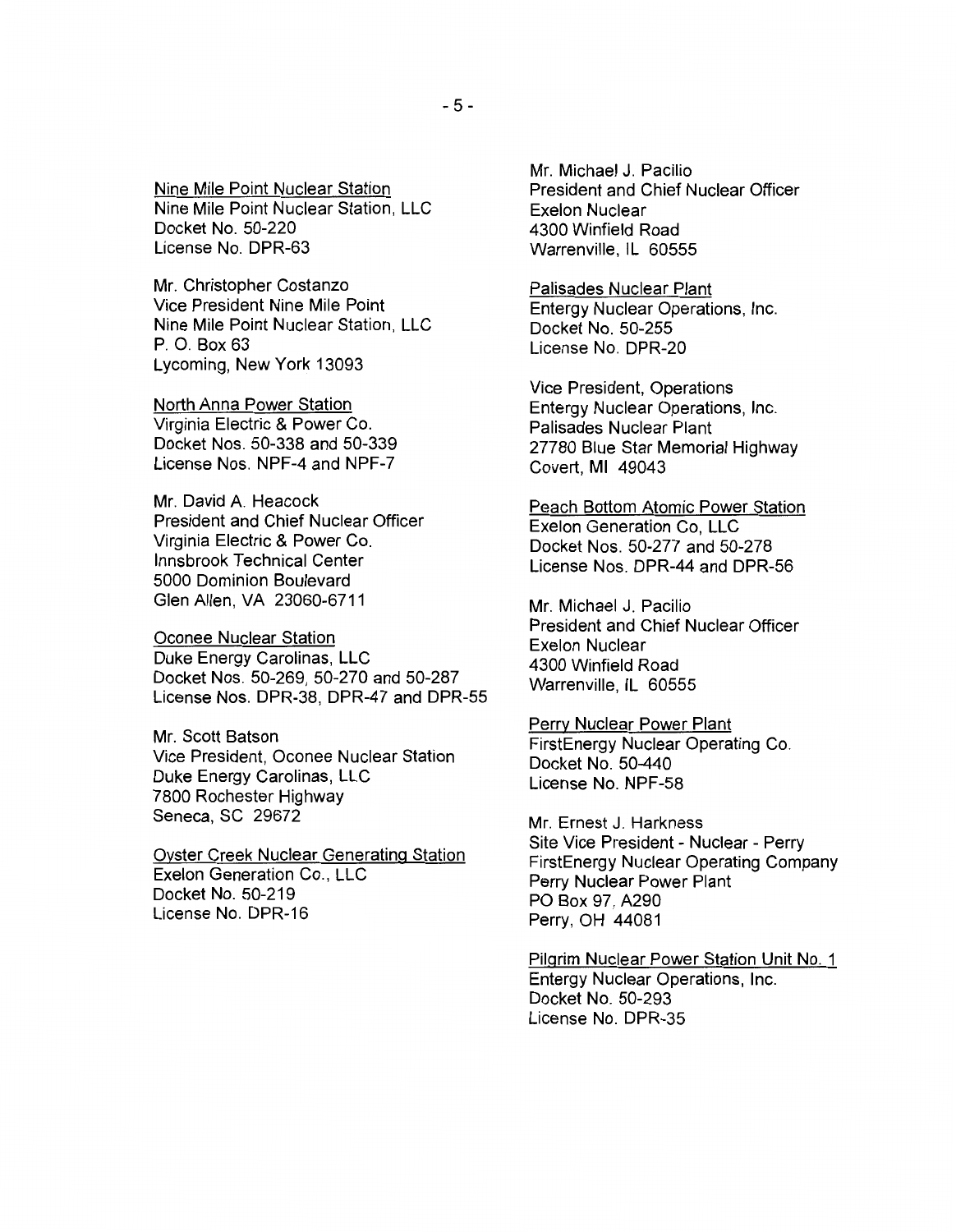Nine Mile Point Nuclear Station Nine Mile Point Nuclear Station, LLC Docket No. 50-220 License No. DPR-63

Mr. Christopher Costanzo Vice President Nine Mile Point Nine Mile Point Nuclear Station, LLC P. 0. Box 63 Lycoming, New York 13093

North Anna Power Station Virginia Electric & Power Co. Docket Nos. 50-338 and 50-339 License Nos. NPF-4 and NPF-7

Mr. David A. Heacock President and Chief Nuclear Officer Virginia Electric & Power Co. lnnsbrook Technical Center 5000 Dominion Boulevard Glen Allen, VA 23060-6711

Oconee Nuclear Station Duke Energy Carolinas, LLC Docket Nos. 50-269, 50-270 and 50-287 License Nos. DPR-38, DPR-47 and DPR-55

Mr. Scott Batson Vice President, Oconee Nuclear Station Duke Energy Carolinas, LLC 7800 Rochester Highway Seneca, SC 29672

Oyster Creek Nuclear Generating Station Exelon Generation Co., LLC Docket No. 50-219 License No. DPR-16

Mr. Michael J. Pacilio President and Chief Nuclear Officer Exelon Nuclear 4300 Winfield Road Warrenville, IL 60555

Palisades Nuclear Plant Entergy Nuclear Operations, Inc. Docket No. 50-255 License No. DPR-20

Vice President, Operations Entergy Nuclear Operations, Inc. Palisades Nuclear Plant 27780 Blue Star Memorial Highway Covert, Ml 49043

Peach Bottom Atomic Power Station Exelon Generation Co, LLC Docket Nos. 50-277 and 50-278 License Nos. DPR-44 and DPR-56

Mr. Michael J. Pacilio President and Chief Nuclear Officer Exelon Nuclear 4300 Winfield Road Warrenville, IL 60555

Perry Nuclear Power Plant FirstEnergy Nuclear Operating Co. Docket No. 50-440 License No. NPF-58

Mr. Ernest J. Harkness Site Vice President - Nuclear - Perry FirstEnergy Nuclear Operating Company Perry Nuclear Power Plant PO Box 97, A290 Perry, OH 44081

Pilgrim Nuclear Power Station Unit No. 1 Entergy Nuclear Operations, Inc. Docket No. 50-293 License No. DPR-35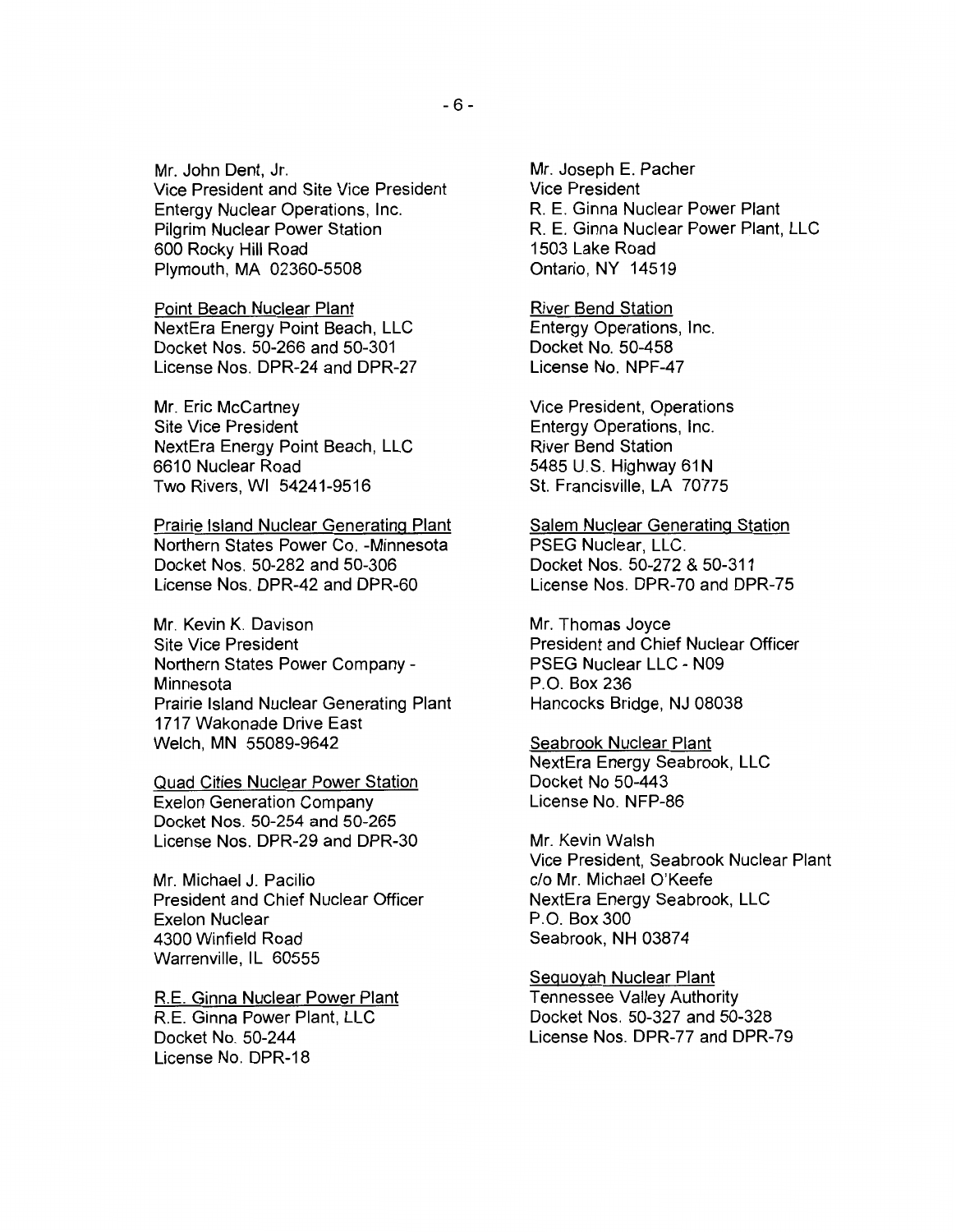Mr. John Dent, Jr. Vice President and Site Vice President Entergy Nuclear Operations, Inc. Pilgrim Nuclear Power Station 600 Rocky Hill Road Plymouth, MA 02360-5508

Point Beach Nuclear Plant NextEra Energy Point Beach, LLC Docket Nos. 50-266 and 50-301 License Nos. DPR-24 and DPR-27

Mr. Eric McCartney Site Vice President NextEra Energy Point Beach, LLC 6610 Nuclear Road Two Rivers, WI 54241-9516

Prairie Island Nuclear Generating Plant Northern States Power Co. -Minnesota Docket Nos. 50-282 and 50-306 License Nos. DPR-42 and DPR-60

Mr. Kevin K. Davison Site Vice President Northern States Power Company-**Minnesota** Prairie Island Nuclear Generating Plant 1717 Wakonade Drive East Welch, MN 55089-9642

Quad Cities Nuclear Power Station Exelon Generation Company Docket Nos. 50-254 and 50-265 License Nos. DPR-29 and DPR-30

Mr. Michael J. Pacilio President and Chief Nuclear Officer Exelon Nuclear 4300 Winfield Road Warrenville, IL 60555

R.E. Ginna Nuclear Power Plant R. E. Ginna Power Plant, LLC Docket No. 50-244 License No. DPR-18

Mr. Joseph E. Pacher Vice President R. E. Ginna Nuclear Power Plant R. E. Ginna Nuclear Power Plant, LLC 1503 Lake Road Ontario, NY 14519

River Bend Station Entergy Operations, Inc. Docket No. 50-458 License No. NPF-47

Vice President, Operations Entergy Operations, Inc. River Bend Station 5485 U.S. Highway 61N St. Francisville, LA 70775

Salem Nuclear Generating Station PSEG Nuclear, LLC. Docket Nos. 50-272 & 50-311 License Nos. DPR-70 and DPR-75

Mr. Thomas Joyce President and Chief Nuclear Officer PSEG Nuclear LLC - N09 P.O. Box 236 Hancocks Bridge, NJ 08038

Seabrook Nuclear Plant NextEra Energy Seabrook, LLC Docket No 50-443 License No. NFP-86

Mr. Kevin Walsh Vice President, Seabrook Nuclear Plant c/o Mr. Michael O'Keefe NextEra Energy Seabrook, LLC P.O. Box 300 Seabrook, NH 03874

Sequoyah Nuclear Plant Tennessee Valley Authority Docket Nos. 50-327 and 50-328 License Nos. DPR-77 and DPR-79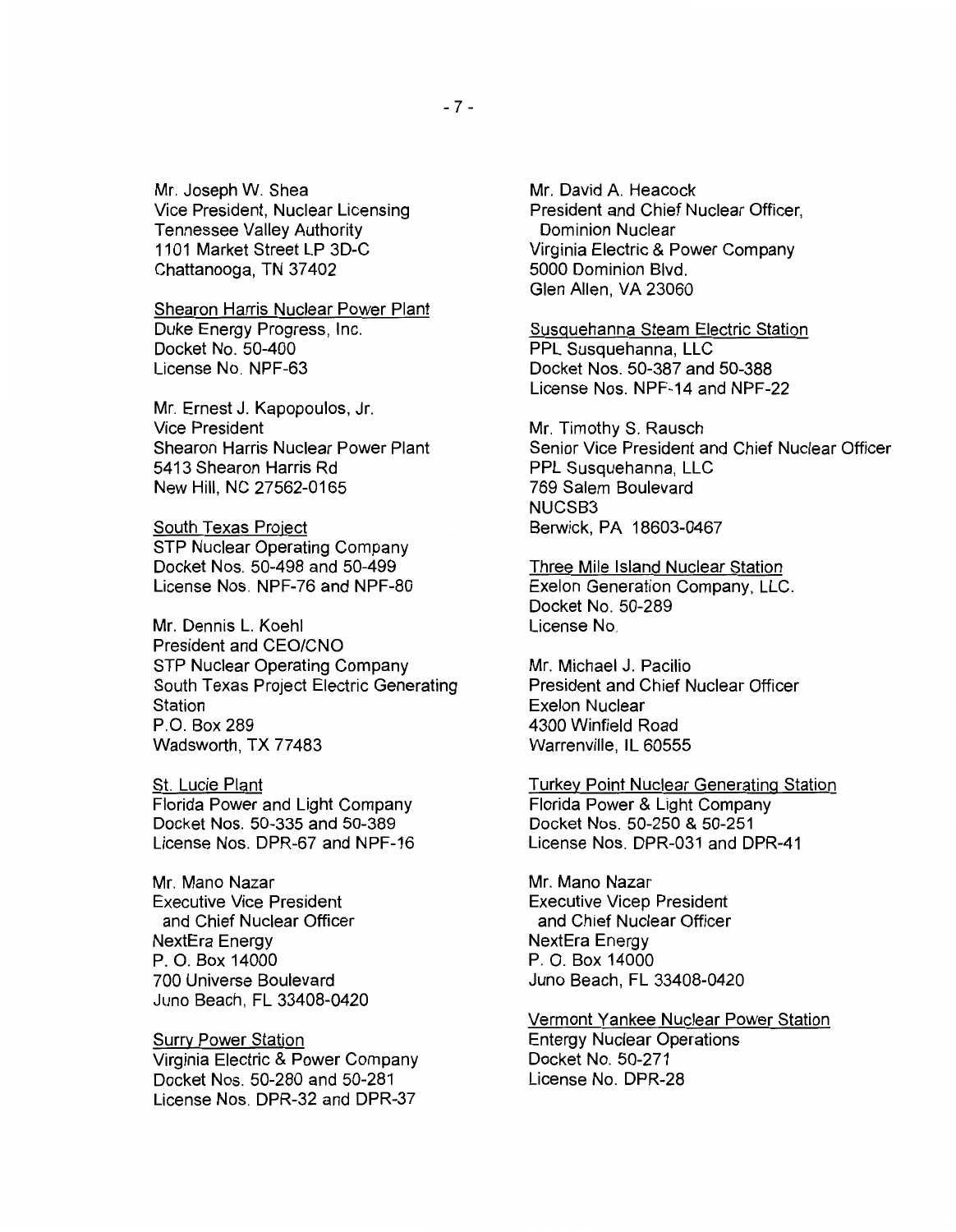Mr. Joseph W. Shea Vice President, Nuclear Licensing Tennessee Valley Authority 1101 Market Street LP 3D-C Chattanooga, TN 37402

## Shearon Harris Nuclear Power Plant

Duke Energy Progress, Inc. Docket No. 50-400 License No. NPF-63

Mr. Ernest J. Kapopoulos, Jr. Vice President Shearon Harris Nuclear Power Plant 5413 Shearon Harris Rd New Hill, NC 27562-0165

South Texas Project STP Nuclear Operating Company Docket Nos. 50-498 and 50-499 License Nos. NPF-76 and NPF-80

Mr. Dennis L. Koehl President and CEO/CNO STP Nuclear Operating Company South Texas Project Electric Generating Station P.O. Box 289 Wadsworth, TX 77483

St. Lucie Plant Florida Power and Light Company Docket Nos. 50-335 and 50-389 License Nos. DPR-67 and NPF-16

Mr. Mano Nazar Executive Vice President and Chief Nuclear Officer NextEra Energy P. 0. Box 14000 700 Universe Boulevard Juno Beach, FL 33408-0420

**Surry Power Station** Virginia Electric & Power Company Docket Nos. 50-280 and 50-281 License Nos. DPR-32 and DPR-37

Mr. David A. Heacock President and Chief Nuclear Officer, Dominion Nuclear Virginia Electric & Power Company 5000 Dominion Blvd. Glen Allen, VA 23060

Susquehanna Steam Electric Station PPL Susquehanna, LLC Docket Nos. 50-387 and 50-388 License Nos. NPF-14 and NPF-22

Mr. Timothy S. Rausch Senior Vice President and Chief Nuclear Officer PPL Susquehanna, LLC 769 Salem Boulevard NUCSB3 Berwick, PA 18603-0467

Three Mile Island Nuclear Station Exelon Generation Company, LLC. Docket No. 50-289 License No.

Mr. Michael J. Pacilio President and Chief Nuclear Officer Exelon Nuclear 4300 Winfield Road Warrenville, IL 60555

Turkey Point Nuclear Generating Station Florida Power & Light Company Docket Nos. 50-250 & 50-251 License Nos. DPR-031 and DPR-41

Mr. Mano Nazar Executive Vicep President and Chief Nuclear Officer NextEra Energy P. 0. Box 14000 Juno Beach, FL 33408-0420

Vermont Yankee Nuclear Power Station Entergy Nuclear Operations Docket No. 50-271 License No. DPR-28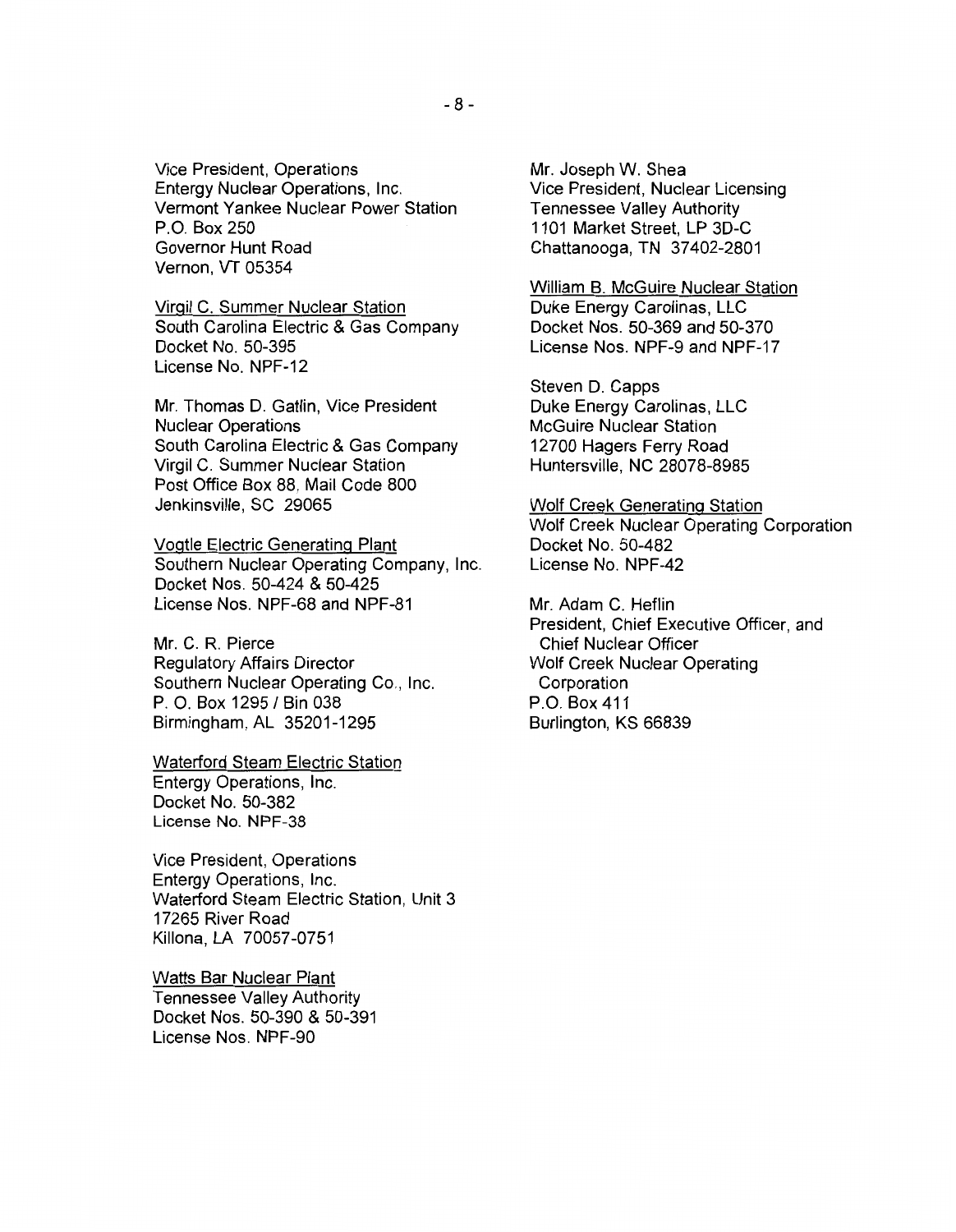Vice President, Operations Entergy Nuclear Operations, Inc. Vermont Yankee Nuclear Power Station P.O. Box 250 Governor Hunt Road Vernon, VT 05354

Virgil C. Summer Nuclear Station South Carolina Electric & Gas Company Docket No. 50-395 License No. NPF-12

Mr. Thomas D. Gatlin, Vice President Nuclear Operations South Carolina Electric & Gas Company Virgil C. Summer Nuclear Station Post Office Box 88, Mail Code 800 Jenkinsville, SC 29065

Vogtle Electric Generating Plant Southern Nuclear Operating Company, Inc. Docket Nos. 50-424 & 50-425 License Nos. NPF-68 and NPF-81

Mr. C. R. Pierce Regulatory Affairs Director Southern Nuclear Operating Co., Inc. P. O. Box 1295 / Bin 038 Birmingham, AL 35201-1295

Waterford Steam Electric Station Entergy Operations, Inc. Docket No. 50-382 License No. NPF-38

Vice President, Operations Entergy Operations, Inc. Waterford Steam Electric Station, Unit 3 17265 River Road Killona, LA 70057-0751

Watts Bar Nuclear Plant Tennessee Valley Authority Docket Nos. 50-390 & 50-391 License Nos. NPF-90

Mr. Joseph W. Shea Vice President, Nuclear Licensing Tennessee Valley Authority 1101 Market Street, LP 3D-C Chattanooga, TN 37 402-2801

William B. McGuire Nuclear Station Duke Energy Carolinas, LLC Docket Nos. 50-369 and 50-370 License Nos. NPF-9 and NPF-17

Steven D. Capps Duke Energy Carolinas, LLC McGuire Nuclear Station 12700 Hagers Ferry Road Huntersville, NC 28078-8985

Wolf Creek Generating Station Wolf Creek Nuclear Operating Corporation Docket No. 50-482 License No. NPF-42

Mr. Adam C. Heflin President, Chief Executive Officer, and Chief Nuclear Officer Wolf Creek Nuclear Operating Corporation P.O. Box 411 Burlington, KS 66839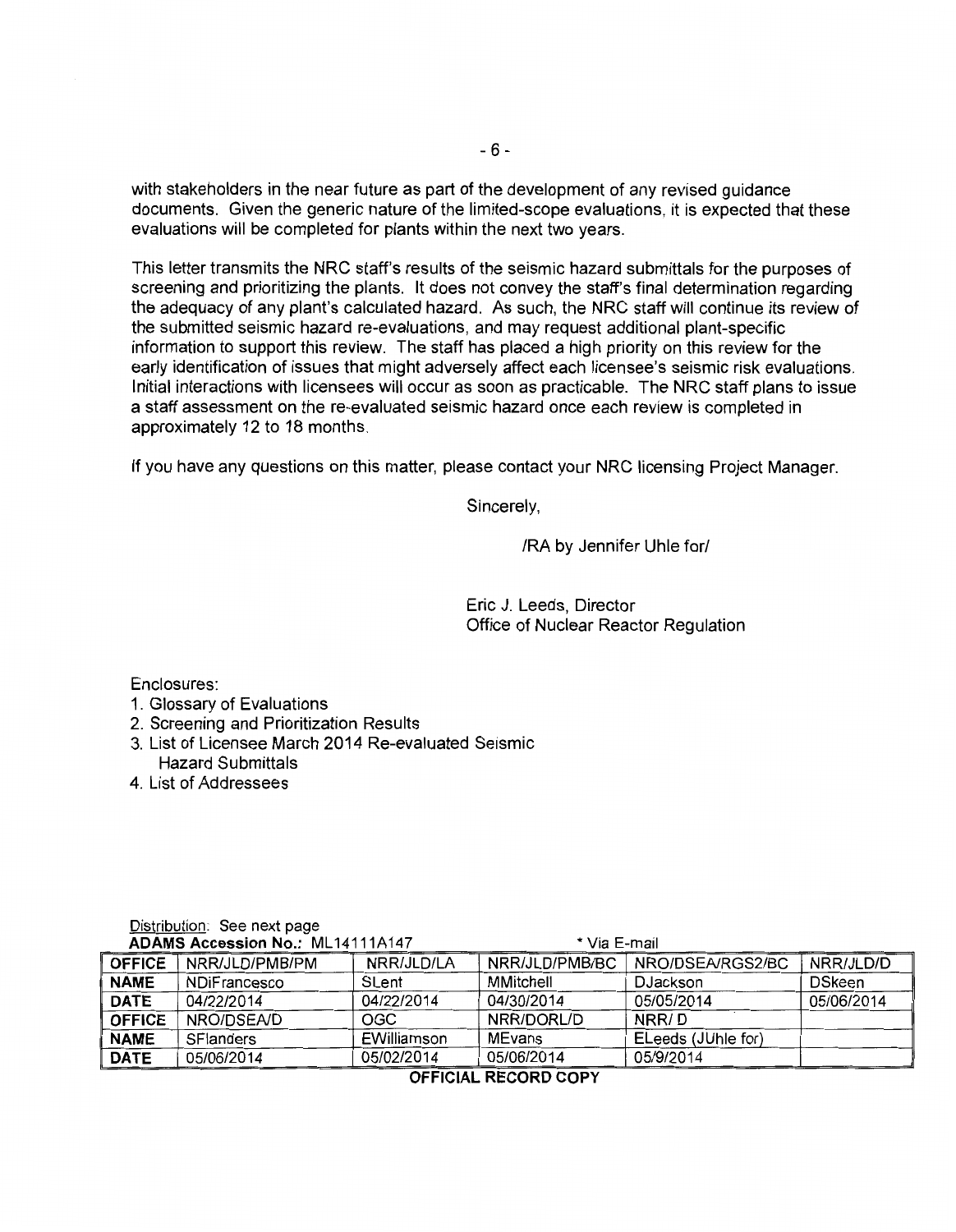with stakeholders in the near future as part of the development of any revised guidance documents. Given the generic nature of the limited-scope evaluations, it is expected that these evaluations will be completed for plants within the next two years.

This letter transmits the NRC staff's results of the seismic hazard submittals for the purposes of screening and prioritizing the plants. It does not convey the staff's final determination regarding the adequacy of any plant's calculated hazard. As such, the NRC staff will continue its review of the submitted seismic hazard re-evaluations, and may request additional plant-specific information to support this review. The staff has placed a high priority on this review for the early identification of issues that might adversely affect each licensee's seismic risk evaluations. Initial interactions with licensees will occur as soon as practicable. The NRC staff plans to issue a staff assessment on the re-evaluated seismic hazard once each review is completed in approximately 12 to 18 months.

If you have any questions on this matter, please contact your NRC licensing Project Manager.

Sincerely,

/RA by Jennifer Uhle for/

Eric J. Leeds, Director Office of Nuclear Reactor Regulation

Enclosures:

- 1. Glossary of Evaluations
- 2. Screening and Prioritization Results
- 3. List of Licensee March 2014 Re-evaluated Seismic Hazard Submittals
- 4. List of Addressees

| NRO/DSEA/RGS2/BC<br>NRR/JLD/D<br>NRR/JLD/PMB/BC<br>NRR/JLD/LA<br><b>OFFICE</b><br>NRR/JLD/PMB/PM<br>DSkeen<br>MMitchell<br>SLent<br>DJackson<br><b>NAME</b><br><b>NDiFrancesco</b><br>05/05/2014<br>05/06/2014<br>04/30/2014<br><b>DATE</b><br>04/22/2014<br>04/22/2014<br>NRR/D<br><b>OFFICE</b><br>NRR/DORL/D<br>OGC<br>NRO/DSEA/D<br><b>MEvans</b><br>EWilliamson<br>ELeeds (JUhle for)<br><b>NAME</b><br><b>SFlanders</b><br>05/06/2014<br>05/02/2014<br>05/9/2014<br><b>DATE</b><br>05/06/2014 | * Via E-mail<br><b>ADAMS Accession No.: ML14111A147</b> |  |  |  |  |  |
|-----------------------------------------------------------------------------------------------------------------------------------------------------------------------------------------------------------------------------------------------------------------------------------------------------------------------------------------------------------------------------------------------------------------------------------------------------------------------------------------------------|---------------------------------------------------------|--|--|--|--|--|
|                                                                                                                                                                                                                                                                                                                                                                                                                                                                                                     |                                                         |  |  |  |  |  |
|                                                                                                                                                                                                                                                                                                                                                                                                                                                                                                     |                                                         |  |  |  |  |  |
|                                                                                                                                                                                                                                                                                                                                                                                                                                                                                                     |                                                         |  |  |  |  |  |
|                                                                                                                                                                                                                                                                                                                                                                                                                                                                                                     |                                                         |  |  |  |  |  |
|                                                                                                                                                                                                                                                                                                                                                                                                                                                                                                     |                                                         |  |  |  |  |  |
|                                                                                                                                                                                                                                                                                                                                                                                                                                                                                                     |                                                         |  |  |  |  |  |

Distribution: See next page

**OFFICIAL RECORD COPY**